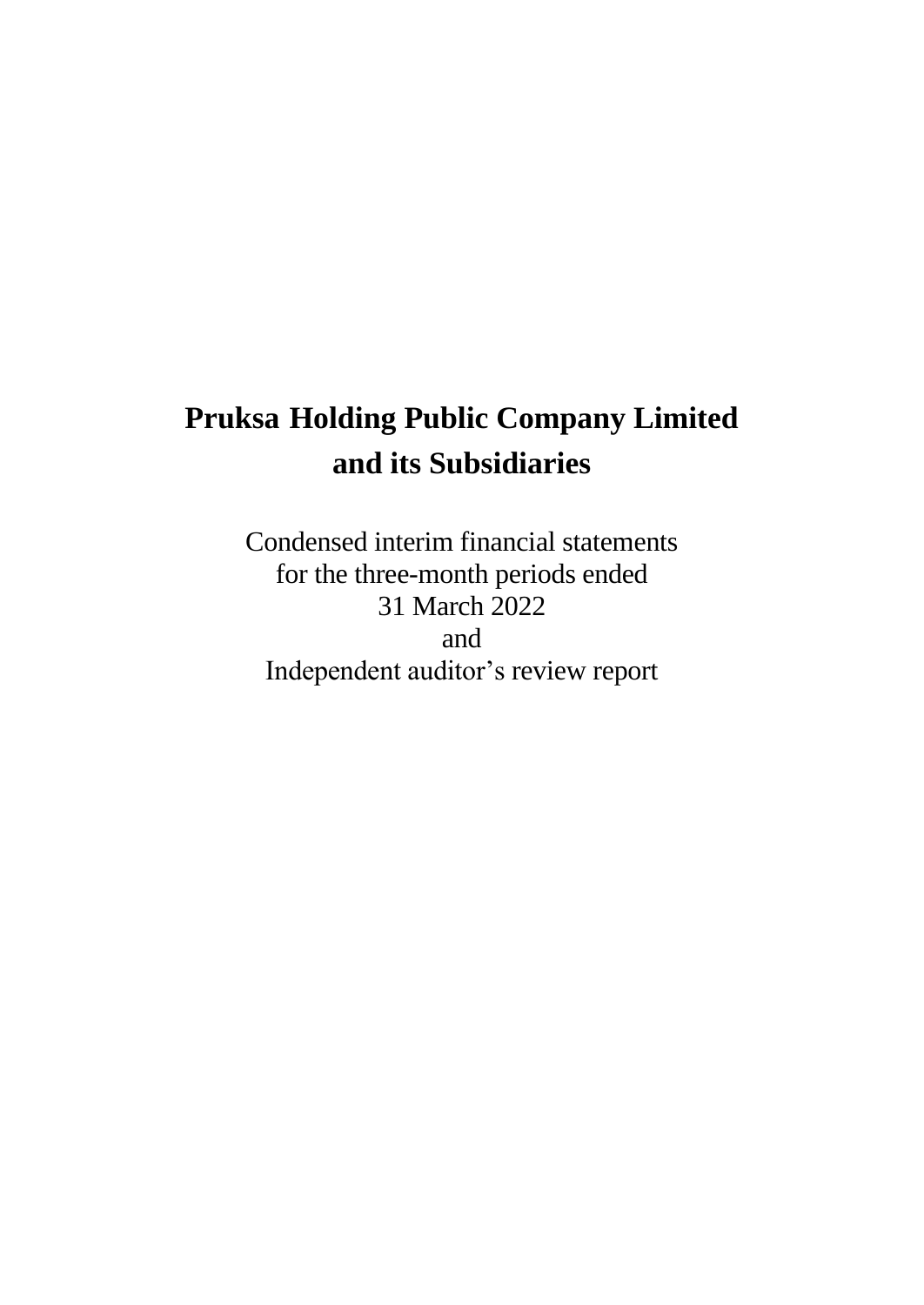Condensed interim financial statements for the three-month periods ended 31 March 2022 and Independent auditor's review report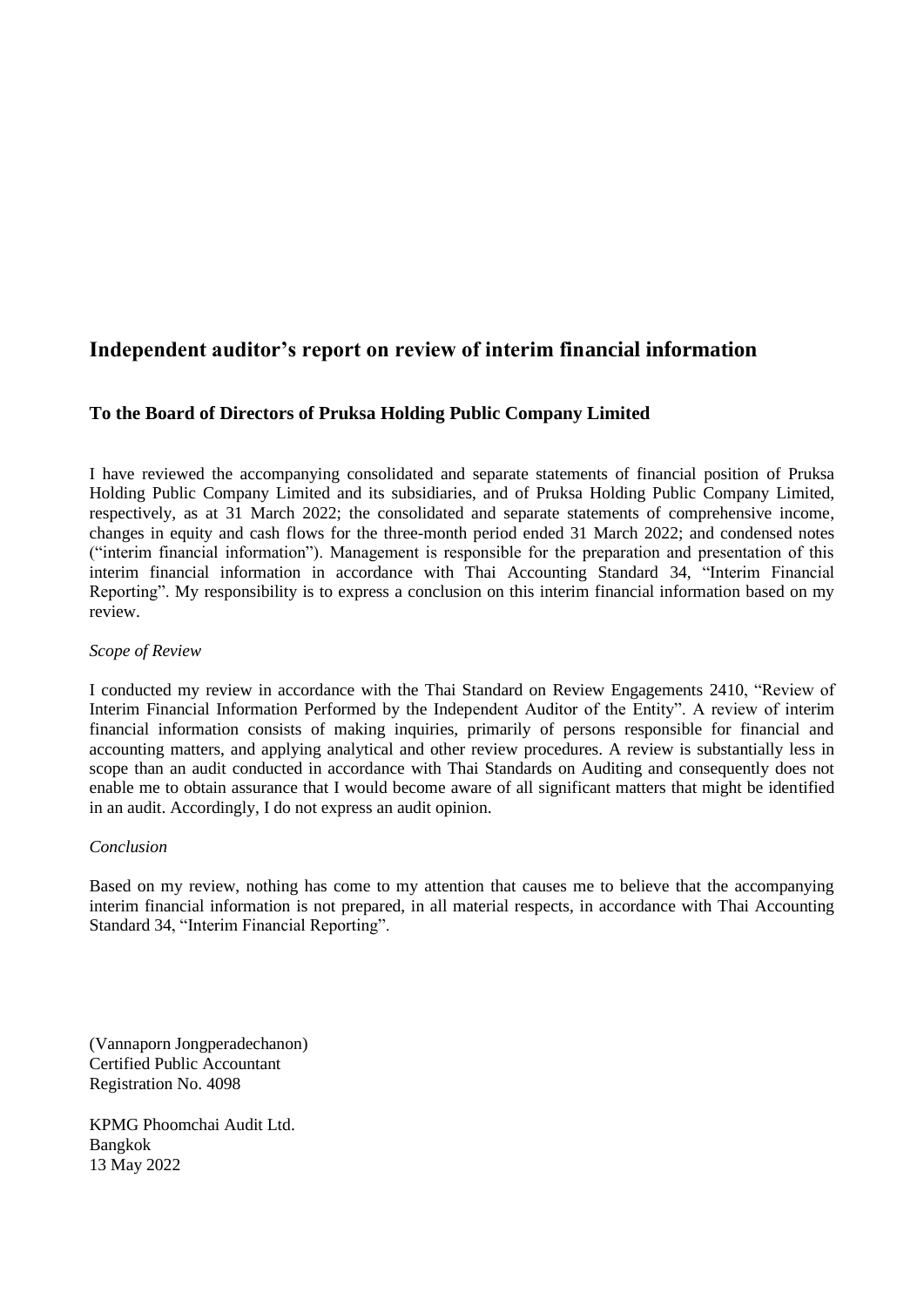# **Independent auditor's report on review of interim financial information**

## **To the Board of Directors of Pruksa Holding Public Company Limited**

I have reviewed the accompanying consolidated and separate statements of financial position of Pruksa Holding Public Company Limited and its subsidiaries, and of Pruksa Holding Public Company Limited, respectively, as at 31 March 2022; the consolidated and separate statements of comprehensive income, changes in equity and cash flows for the three-month period ended 31 March 2022; and condensed notes ("interim financial information"). Management is responsible for the preparation and presentation of this interim financial information in accordance with Thai Accounting Standard 34, "Interim Financial Reporting". My responsibility is to express a conclusion on this interim financial information based on my review.

#### *Scope of Review*

I conducted my review in accordance with the Thai Standard on Review Engagements 2410, "Review of Interim Financial Information Performed by the Independent Auditor of the Entity". A review of interim financial information consists of making inquiries, primarily of persons responsible for financial and accounting matters, and applying analytical and other review procedures. A review is substantially less in scope than an audit conducted in accordance with Thai Standards on Auditing and consequently does not enable me to obtain assurance that I would become aware of all significant matters that might be identified in an audit. Accordingly, I do not express an audit opinion.

#### *Conclusion*

Based on my review, nothing has come to my attention that causes me to believe that the accompanying interim financial information is not prepared, in all material respects, in accordance with Thai Accounting Standard 34, "Interim Financial Reporting".

(Vannaporn Jongperadechanon) Certified Public Accountant Registration No. 4098

KPMG Phoomchai Audit Ltd. Bangkok 13 May 2022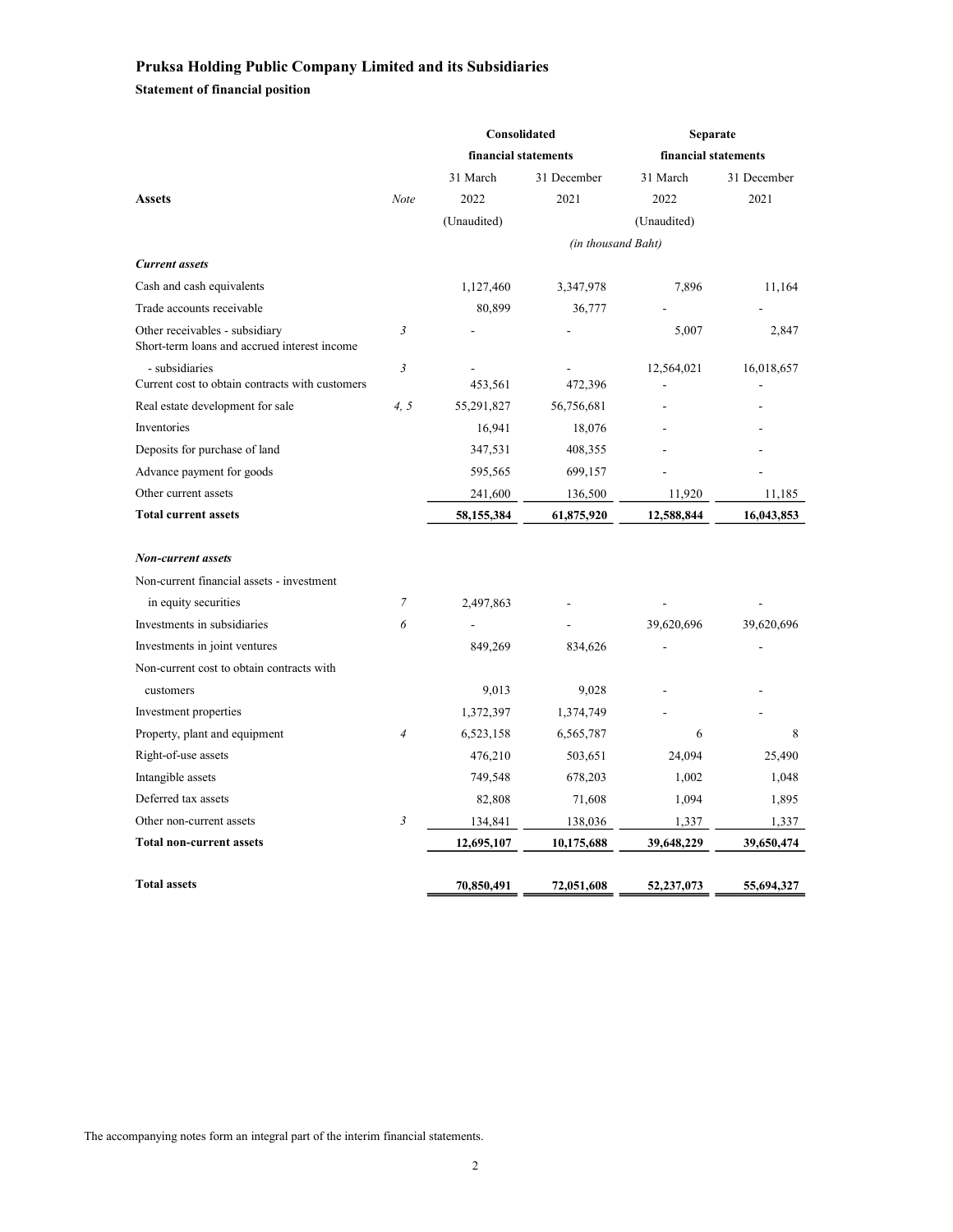Statement of financial position

|                                                                                |                      | Consolidated |                    | Separate    |                      |  |  |
|--------------------------------------------------------------------------------|----------------------|--------------|--------------------|-------------|----------------------|--|--|
|                                                                                | financial statements |              |                    |             | financial statements |  |  |
|                                                                                |                      | 31 March     | 31 December        | 31 March    | 31 December          |  |  |
| <b>Assets</b>                                                                  | Note                 | 2022         | 2021               | 2022        | 2021                 |  |  |
|                                                                                |                      | (Unaudited)  |                    | (Unaudited) |                      |  |  |
|                                                                                |                      |              | (in thousand Baht) |             |                      |  |  |
| <b>Current</b> assets                                                          |                      |              |                    |             |                      |  |  |
| Cash and cash equivalents                                                      |                      | 1,127,460    | 3,347,978          | 7,896       | 11,164               |  |  |
| Trade accounts receivable                                                      |                      | 80,899       | 36,777             |             |                      |  |  |
| Other receivables - subsidiary<br>Short-term loans and accrued interest income | $\mathfrak{Z}$       |              |                    | 5,007       | 2,847                |  |  |
| - subsidiaries<br>Current cost to obtain contracts with customers              | $\mathfrak{Z}$       | 453,561      | 472,396            | 12,564,021  | 16,018,657           |  |  |
| Real estate development for sale                                               | 4, 5                 | 55,291,827   | 56,756,681         |             |                      |  |  |
| Inventories                                                                    |                      | 16,941       | 18,076             |             |                      |  |  |
| Deposits for purchase of land                                                  |                      | 347,531      | 408,355            |             |                      |  |  |
| Advance payment for goods                                                      |                      | 595,565      | 699,157            |             |                      |  |  |
| Other current assets                                                           |                      | 241,600      | 136,500            | 11,920      | 11,185               |  |  |
| <b>Total current assets</b>                                                    |                      | 58,155,384   | 61,875,920         | 12,588,844  | 16,043,853           |  |  |
| <b>Non-current assets</b>                                                      |                      |              |                    |             |                      |  |  |
| Non-current financial assets - investment                                      |                      |              |                    |             |                      |  |  |
| in equity securities                                                           | 7                    | 2,497,863    |                    |             |                      |  |  |
| Investments in subsidiaries                                                    | 6                    |              |                    | 39,620,696  | 39,620,696           |  |  |
| Investments in joint ventures                                                  |                      | 849,269      | 834,626            |             |                      |  |  |
| Non-current cost to obtain contracts with                                      |                      |              |                    |             |                      |  |  |
| customers                                                                      |                      | 9,013        | 9,028              |             |                      |  |  |
| Investment properties                                                          |                      | 1,372,397    | 1,374,749          |             |                      |  |  |
| Property, plant and equipment                                                  | $\overline{4}$       | 6,523,158    | 6,565,787          | 6           | 8                    |  |  |
| Right-of-use assets                                                            |                      | 476,210      | 503,651            | 24,094      | 25,490               |  |  |
| Intangible assets                                                              |                      | 749,548      | 678,203            | 1,002       | 1,048                |  |  |
| Deferred tax assets                                                            |                      | 82,808       | 71,608             | 1,094       | 1,895                |  |  |
| Other non-current assets                                                       | 3                    | 134,841      | 138,036            | 1,337       | 1,337                |  |  |
| <b>Total non-current assets</b>                                                |                      | 12,695,107   | 10,175,688         | 39,648,229  | 39,650,474           |  |  |
| <b>Total assets</b>                                                            |                      | 70,850,491   | 72,051,608         | 52,237,073  | 55,694,327           |  |  |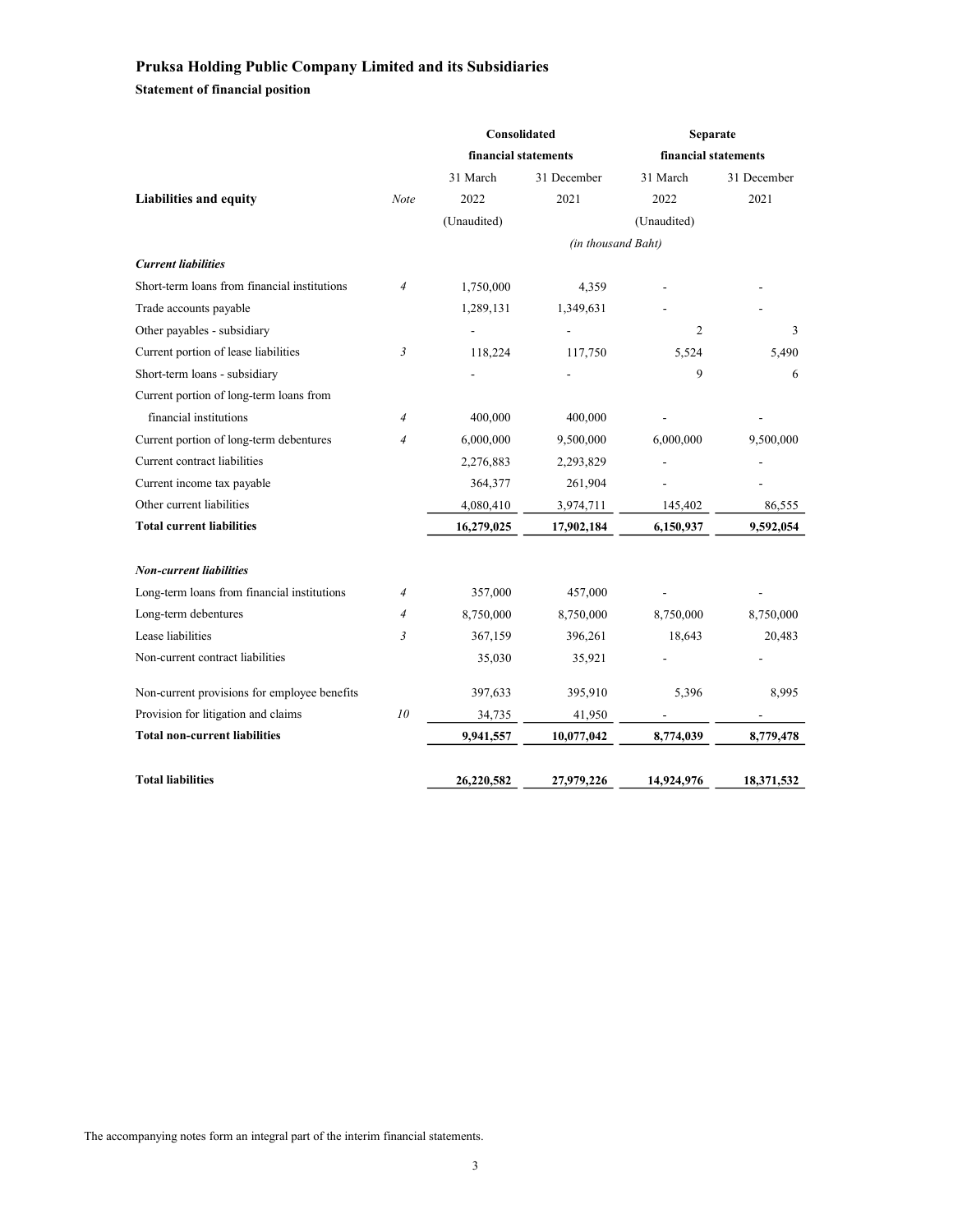Statement of financial position

|                                              |                | Consolidated         |                    | Separate    |                      |
|----------------------------------------------|----------------|----------------------|--------------------|-------------|----------------------|
|                                              |                | financial statements |                    |             | financial statements |
|                                              |                | 31 March             | 31 December        | 31 March    | 31 December          |
| <b>Liabilities and equity</b>                | Note           | 2022                 | 2021               | 2022        | 2021                 |
|                                              |                | (Unaudited)          |                    | (Unaudited) |                      |
|                                              |                |                      | (in thousand Baht) |             |                      |
| <b>Current liabilities</b>                   |                |                      |                    |             |                      |
| Short-term loans from financial institutions | $\overline{4}$ | 1,750,000            | 4,359              |             |                      |
| Trade accounts payable                       |                | 1,289,131            | 1,349,631          |             |                      |
| Other payables - subsidiary                  |                |                      | $\overline{a}$     | 2           | 3                    |
| Current portion of lease liabilities         | 3              | 118,224              | 117,750            | 5,524       | 5,490                |
| Short-term loans - subsidiary                |                |                      |                    | 9           | 6                    |
| Current portion of long-term loans from      |                |                      |                    |             |                      |
| financial institutions                       | $\overline{4}$ | 400,000              | 400,000            |             |                      |
| Current portion of long-term debentures      | $\overline{4}$ | 6,000,000            | 9,500,000          | 6,000,000   | 9,500,000            |
| Current contract liabilities                 |                | 2,276,883            | 2,293,829          |             |                      |
| Current income tax payable                   |                | 364,377              | 261,904            |             |                      |
| Other current liabilities                    |                | 4,080,410            | 3,974,711          | 145,402     | 86,555               |
| <b>Total current liabilities</b>             |                | 16,279,025           | 17,902,184         | 6,150,937   | 9,592,054            |
| <b>Non-current liabilities</b>               |                |                      |                    |             |                      |
| Long-term loans from financial institutions  | $\overline{4}$ | 357,000              | 457,000            |             |                      |
| Long-term debentures                         | $\overline{4}$ | 8,750,000            | 8,750,000          | 8,750,000   | 8,750,000            |
| Lease liabilities                            | $\mathfrak{Z}$ | 367,159              | 396,261            | 18,643      | 20,483               |
| Non-current contract liabilities             |                | 35,030               | 35,921             |             |                      |
| Non-current provisions for employee benefits |                | 397,633              | 395,910            | 5,396       | 8,995                |
| Provision for litigation and claims          | 10             | 34,735               | 41,950             |             |                      |
| <b>Total non-current liabilities</b>         |                | 9,941,557            | 10,077,042         | 8,774,039   | 8,779,478            |
| <b>Total liabilities</b>                     |                | 26,220,582           | 27,979,226         | 14,924,976  | 18,371,532           |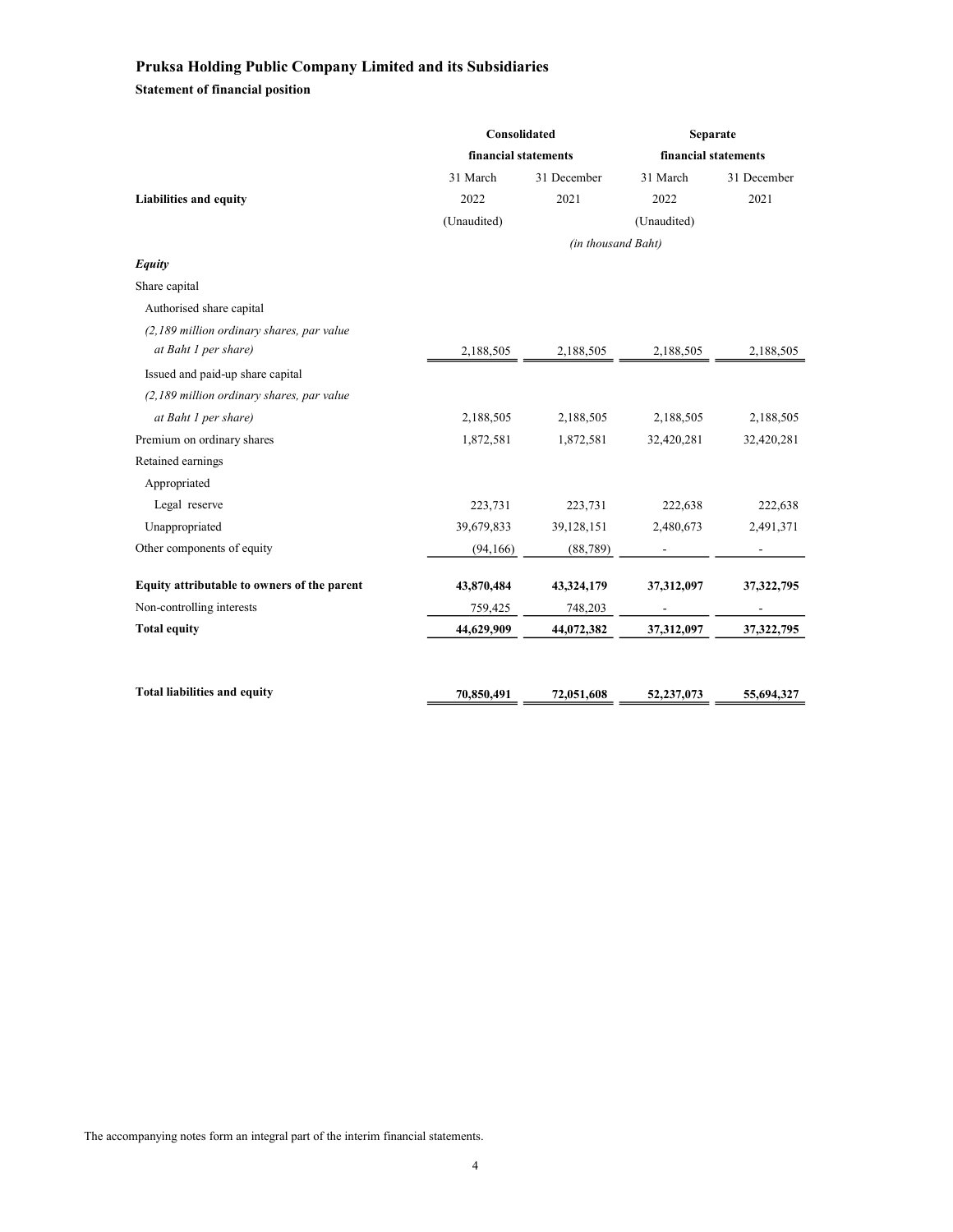Statement of financial position

|                                             | Consolidated         |                    | Separate             |              |  |
|---------------------------------------------|----------------------|--------------------|----------------------|--------------|--|
|                                             | financial statements |                    | financial statements |              |  |
|                                             | 31 March             | 31 December        | 31 March             | 31 December  |  |
| Liabilities and equity                      | 2022                 | 2021               | 2022                 | 2021         |  |
|                                             | (Unaudited)          |                    | (Unaudited)          |              |  |
|                                             |                      | (in thousand Baht) |                      |              |  |
| Equity                                      |                      |                    |                      |              |  |
| Share capital                               |                      |                    |                      |              |  |
| Authorised share capital                    |                      |                    |                      |              |  |
| (2,189 million ordinary shares, par value   |                      |                    |                      |              |  |
| at Baht 1 per share)                        | 2,188,505            | 2,188,505          | 2,188,505            | 2,188,505    |  |
| Issued and paid-up share capital            |                      |                    |                      |              |  |
| (2,189 million ordinary shares, par value   |                      |                    |                      |              |  |
| at Baht 1 per share)                        | 2,188,505            | 2,188,505          | 2,188,505            | 2,188,505    |  |
| Premium on ordinary shares                  | 1,872,581            | 1,872,581          | 32,420,281           | 32,420,281   |  |
| Retained earnings                           |                      |                    |                      |              |  |
| Appropriated                                |                      |                    |                      |              |  |
| Legal reserve                               | 223,731              | 223,731            | 222,638              | 222,638      |  |
| Unappropriated                              | 39,679,833           | 39,128,151         | 2,480,673            | 2,491,371    |  |
| Other components of equity                  | (94,166)             | (88, 789)          |                      |              |  |
|                                             |                      |                    |                      |              |  |
| Equity attributable to owners of the parent | 43,870,484           | 43,324,179         | 37,312,097           | 37,322,795   |  |
| Non-controlling interests                   | 759,425              | 748,203            |                      |              |  |
| <b>Total equity</b>                         | 44,629,909           | 44,072,382         | 37,312,097           | 37, 322, 795 |  |
|                                             |                      |                    |                      |              |  |
| <b>Total liabilities and equity</b>         | 70,850,491           | 72,051,608         | 52,237,073           | 55,694,327   |  |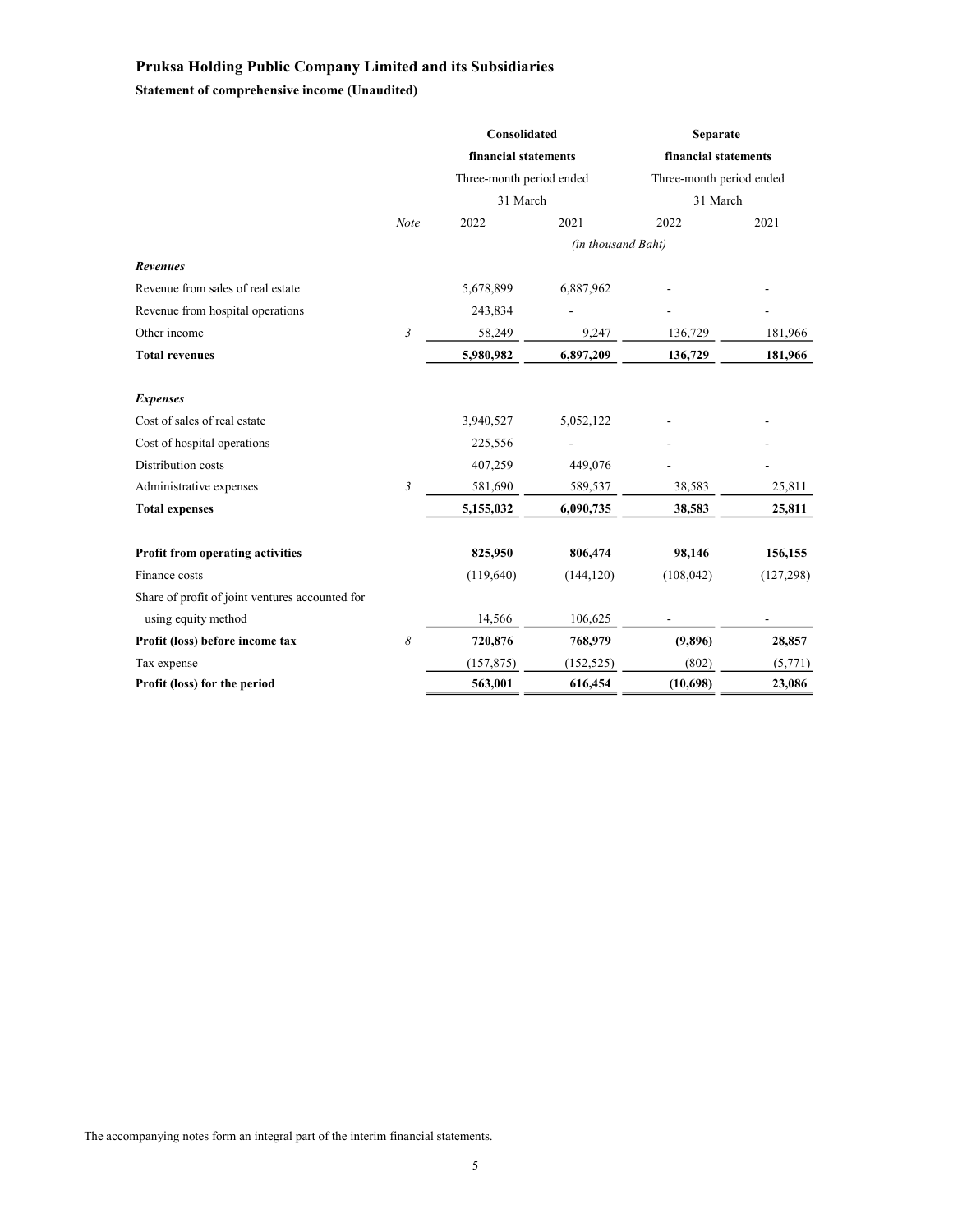Statement of comprehensive income (Unaudited)

|                                                 |                | Consolidated             |                    | <b>Separate</b>                                  |            |  |
|-------------------------------------------------|----------------|--------------------------|--------------------|--------------------------------------------------|------------|--|
|                                                 |                | financial statements     |                    | financial statements<br>Three-month period ended |            |  |
|                                                 |                | Three-month period ended |                    |                                                  |            |  |
|                                                 |                | 31 March                 |                    | 31 March                                         |            |  |
|                                                 | Note           | 2022                     | 2021               | 2022                                             | 2021       |  |
|                                                 |                |                          | (in thousand Baht) |                                                  |            |  |
| <b>Revenues</b>                                 |                |                          |                    |                                                  |            |  |
| Revenue from sales of real estate               |                | 5,678,899                | 6,887,962          |                                                  |            |  |
| Revenue from hospital operations                |                | 243,834                  |                    |                                                  |            |  |
| Other income                                    | $\mathfrak{Z}$ | 58,249                   | 9,247              | 136,729                                          | 181,966    |  |
| <b>Total revenues</b>                           |                | 5,980,982                | 6,897,209          | 136,729                                          | 181,966    |  |
| <b>Expenses</b>                                 |                |                          |                    |                                                  |            |  |
| Cost of sales of real estate                    |                | 3,940,527                | 5,052,122          |                                                  |            |  |
| Cost of hospital operations                     |                | 225,556                  |                    |                                                  |            |  |
| Distribution costs                              |                | 407,259                  | 449,076            |                                                  |            |  |
| Administrative expenses                         | 3              | 581,690                  | 589,537            | 38,583                                           | 25,811     |  |
| <b>Total expenses</b>                           |                | 5,155,032                | 6,090,735          | 38,583                                           | 25,811     |  |
| <b>Profit from operating activities</b>         |                | 825,950                  | 806,474            | 98,146                                           | 156,155    |  |
| Finance costs                                   |                | (119,640)                | (144, 120)         | (108, 042)                                       | (127, 298) |  |
| Share of profit of joint ventures accounted for |                |                          |                    |                                                  |            |  |
| using equity method                             |                | 14,566                   | 106,625            |                                                  |            |  |
| Profit (loss) before income tax                 | 8              | 720,876                  | 768,979            | (9,896)                                          | 28,857     |  |
| Tax expense                                     |                | (157, 875)               | (152, 525)         | (802)                                            | (5,771)    |  |
| Profit (loss) for the period                    |                | 563,001                  | 616,454            | (10,698)                                         | 23,086     |  |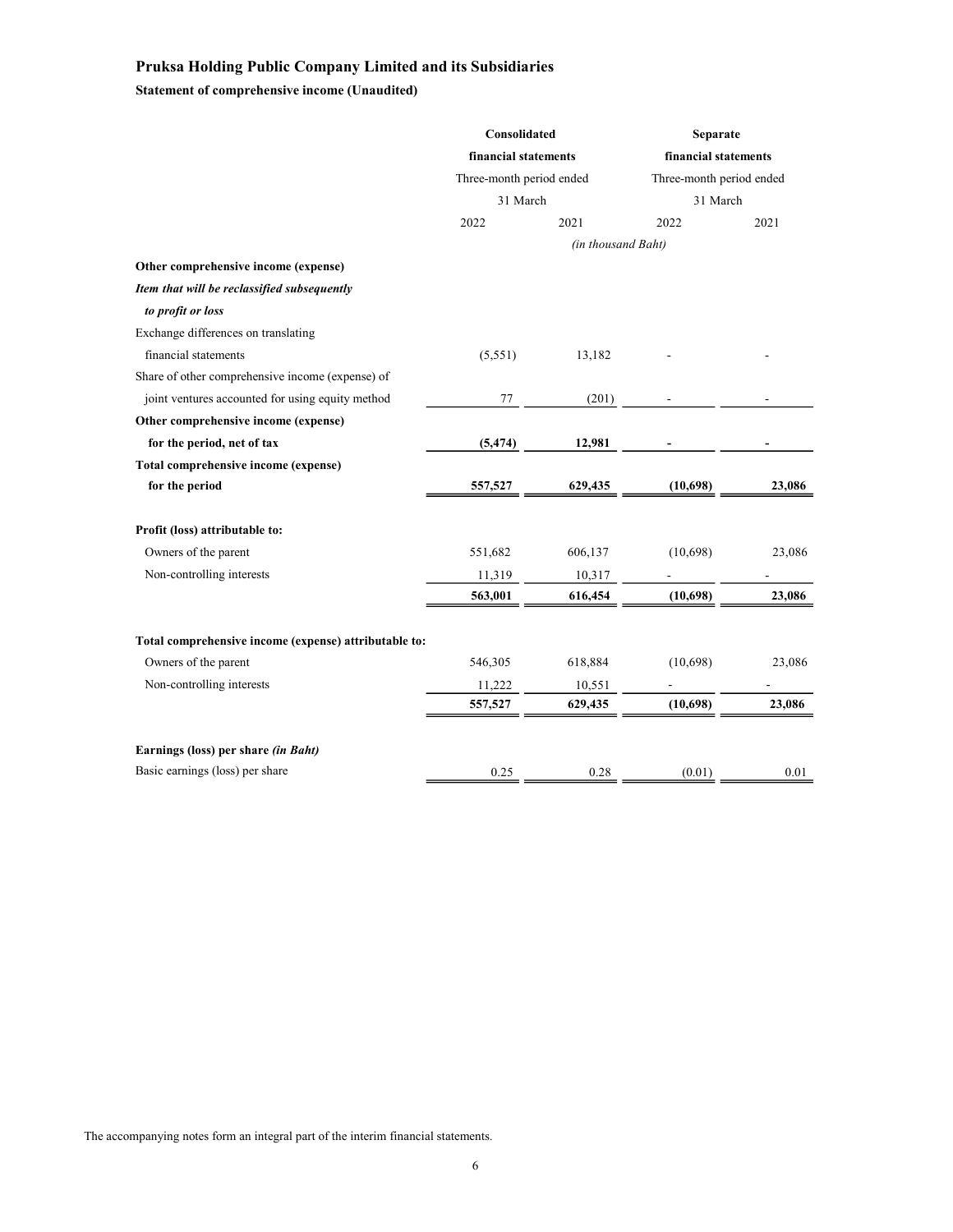Statement of comprehensive income (Unaudited)

|                                                       | Consolidated             |                    | Separate                 |        |  |
|-------------------------------------------------------|--------------------------|--------------------|--------------------------|--------|--|
|                                                       | financial statements     |                    | financial statements     |        |  |
|                                                       | Three-month period ended |                    | Three-month period ended |        |  |
|                                                       | 31 March                 |                    | 31 March                 |        |  |
|                                                       | 2022                     | 2021               | 2022                     | 2021   |  |
|                                                       |                          | (in thousand Baht) |                          |        |  |
| Other comprehensive income (expense)                  |                          |                    |                          |        |  |
| Item that will be reclassified subsequently           |                          |                    |                          |        |  |
| to profit or loss                                     |                          |                    |                          |        |  |
| Exchange differences on translating                   |                          |                    |                          |        |  |
| financial statements                                  | (5,551)                  | 13,182             |                          |        |  |
| Share of other comprehensive income (expense) of      |                          |                    |                          |        |  |
| joint ventures accounted for using equity method      | 77                       | (201)              |                          |        |  |
| Other comprehensive income (expense)                  |                          |                    |                          |        |  |
| for the period, net of tax                            | (5, 474)                 | 12,981             |                          |        |  |
| Total comprehensive income (expense)                  |                          |                    |                          |        |  |
| for the period                                        | 557,527                  | 629,435            | (10,698)                 | 23,086 |  |
| Profit (loss) attributable to:                        |                          |                    |                          |        |  |
| Owners of the parent                                  | 551,682                  | 606,137            | (10,698)                 | 23,086 |  |
| Non-controlling interests                             | 11,319                   | 10,317             |                          |        |  |
|                                                       | 563,001                  | 616,454            | (10,698)                 | 23,086 |  |
| Total comprehensive income (expense) attributable to: |                          |                    |                          |        |  |
| Owners of the parent                                  | 546,305                  | 618,884            | (10,698)                 | 23,086 |  |
| Non-controlling interests                             | 11,222                   | 10,551             |                          |        |  |
|                                                       | 557,527                  | 629,435            | (10,698)                 | 23,086 |  |
| Earnings (loss) per share <i>(in Baht)</i>            |                          |                    |                          |        |  |
| Basic earnings (loss) per share                       | 0.25                     | 0.28               | (0.01)                   | 0.01   |  |
|                                                       |                          |                    |                          |        |  |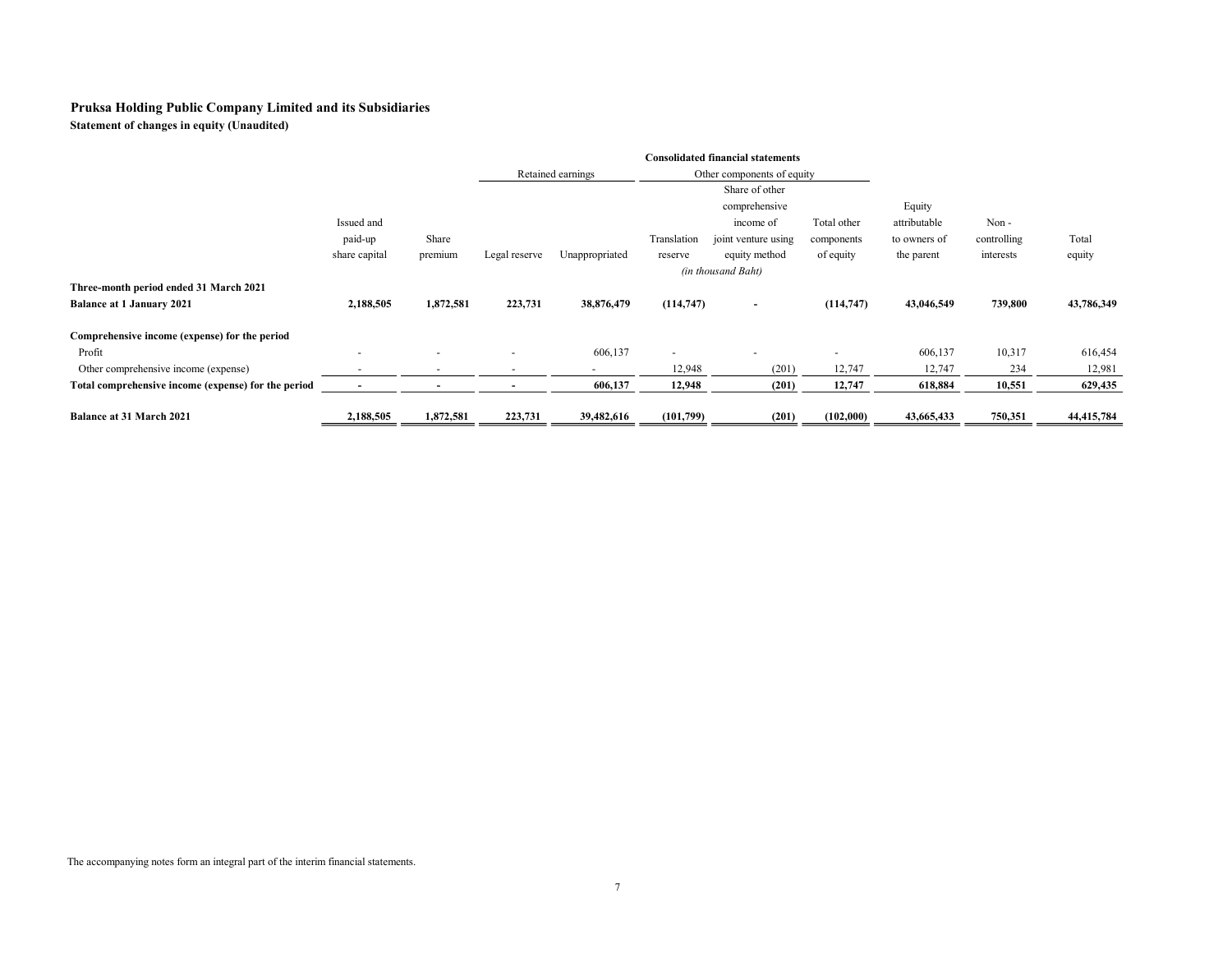Statement of changes in equity (Unaudited)

|                                                     |                |                          |               | <b>Consolidated financial statements</b>        |                          |                          |             |              |             |            |
|-----------------------------------------------------|----------------|--------------------------|---------------|-------------------------------------------------|--------------------------|--------------------------|-------------|--------------|-------------|------------|
|                                                     |                |                          |               | Retained earnings<br>Other components of equity |                          |                          |             |              |             |            |
|                                                     |                |                          |               |                                                 |                          | Share of other           |             |              |             |            |
|                                                     |                |                          |               |                                                 |                          | comprehensive            |             | Equity       |             |            |
|                                                     | Issued and     |                          |               |                                                 |                          | income of                | Total other | attributable | Non-        |            |
|                                                     | paid-up        | Share                    |               |                                                 | Translation              | joint venture using      | components  | to owners of | controlling | Total      |
|                                                     | share capital  | premium                  | Legal reserve | Unappropriated                                  | reserve                  | equity method            | of equity   | the parent   | interests   | equity     |
|                                                     |                |                          |               |                                                 | (in thousand Baht)       |                          |             |              |             |            |
| Three-month period ended 31 March 2021              |                |                          |               |                                                 |                          |                          |             |              |             |            |
| <b>Balance at 1 January 2021</b>                    | 2,188,505      | 1,872,581                | 223,731       | 38,876,479                                      | (114,747)                | $\blacksquare$           | (114, 747)  | 43,046,549   | 739,800     | 43,786,349 |
| Comprehensive income (expense) for the period       |                |                          |               |                                                 |                          |                          |             |              |             |            |
| Profit                                              | $\overline{a}$ | $\overline{\phantom{0}}$ |               | 606,137                                         | $\overline{\phantom{a}}$ | $\overline{\phantom{a}}$ |             | 606,137      | 10,317      | 616,454    |
| Other comprehensive income (expense)                |                |                          |               |                                                 | 12,948                   | (201)                    | 12,747      | 12,747       | 234         | 12,981     |
| Total comprehensive income (expense) for the period |                |                          |               | 606,137                                         | 12,948                   | (201)                    | 12,747      | 618,884      | 10,551      | 629,435    |
| <b>Balance at 31 March 2021</b>                     | 2,188,505      | 1,872,581                | 223,731       | 39,482,616                                      | (101,799)                | (201)                    | (102,000)   | 43,665,433   | 750,351     | 44,415,784 |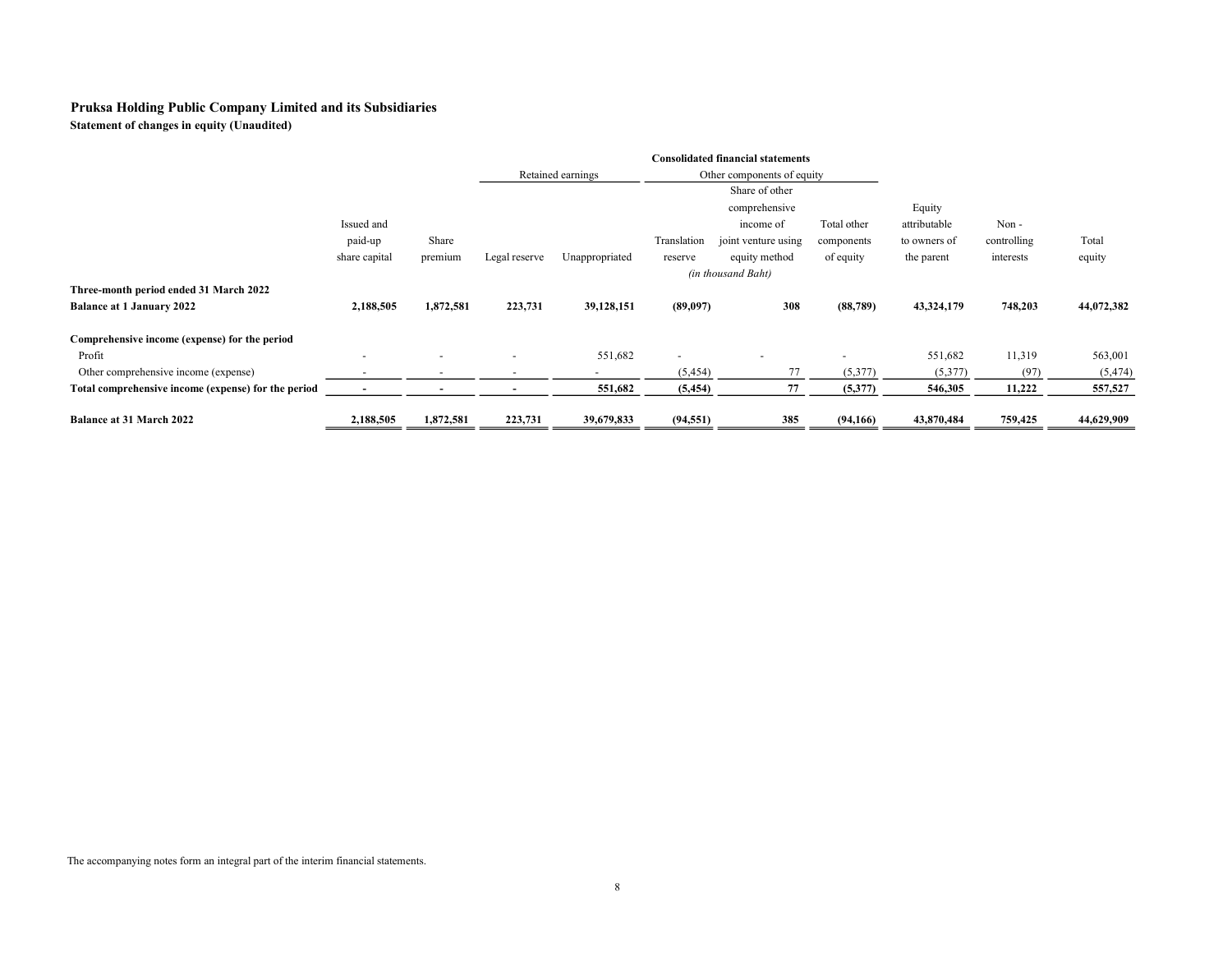Statement of changes in equity (Unaudited)

|                                                     |                          |           |               |                                                 |             | <b>Consolidated financial statements</b> |             |              |             |            |
|-----------------------------------------------------|--------------------------|-----------|---------------|-------------------------------------------------|-------------|------------------------------------------|-------------|--------------|-------------|------------|
|                                                     |                          |           |               | Retained earnings<br>Other components of equity |             |                                          |             |              |             |            |
|                                                     |                          |           |               |                                                 |             | Share of other                           |             |              |             |            |
|                                                     |                          |           |               |                                                 |             | comprehensive                            |             | Equity       |             |            |
|                                                     | Issued and               |           |               |                                                 |             | income of                                | Total other | attributable | Non-        |            |
|                                                     | paid-up                  | Share     |               |                                                 | Translation | joint venture using                      | components  | to owners of | controlling | Total      |
|                                                     | share capital            | premium   | Legal reserve | Unappropriated                                  | reserve     | equity method                            | of equity   | the parent   | interests   | equity     |
|                                                     |                          |           |               |                                                 |             | (in thousand Baht)                       |             |              |             |            |
| Three-month period ended 31 March 2022              |                          |           |               |                                                 |             |                                          |             |              |             |            |
| <b>Balance at 1 January 2022</b>                    | 2,188,505                | 1,872,581 | 223,731       | 39,128,151                                      | (89,097)    | 308                                      | (88, 789)   | 43,324,179   | 748,203     | 44,072,382 |
| Comprehensive income (expense) for the period       |                          |           |               |                                                 |             |                                          |             |              |             |            |
| Profit                                              | $\overline{\phantom{0}}$ |           |               | 551,682                                         |             |                                          |             | 551,682      | 11,319      | 563,001    |
| Other comprehensive income (expense)                |                          |           |               |                                                 | (5,454)     |                                          | (5,377)     | (5,377)      | (97)        | (5, 474)   |
| Total comprehensive income (expense) for the period | $\overline{\phantom{a}}$ |           |               | 551,682                                         | (5, 454)    | 77                                       | (5,377)     | 546,305      | 11,222      | 557,527    |
| <b>Balance at 31 March 2022</b>                     | 2,188,505                | 1,872,581 | 223,731       | 39,679,833                                      | (94, 551)   | 385                                      | (94, 166)   | 43,870,484   | 759,425     | 44,629,909 |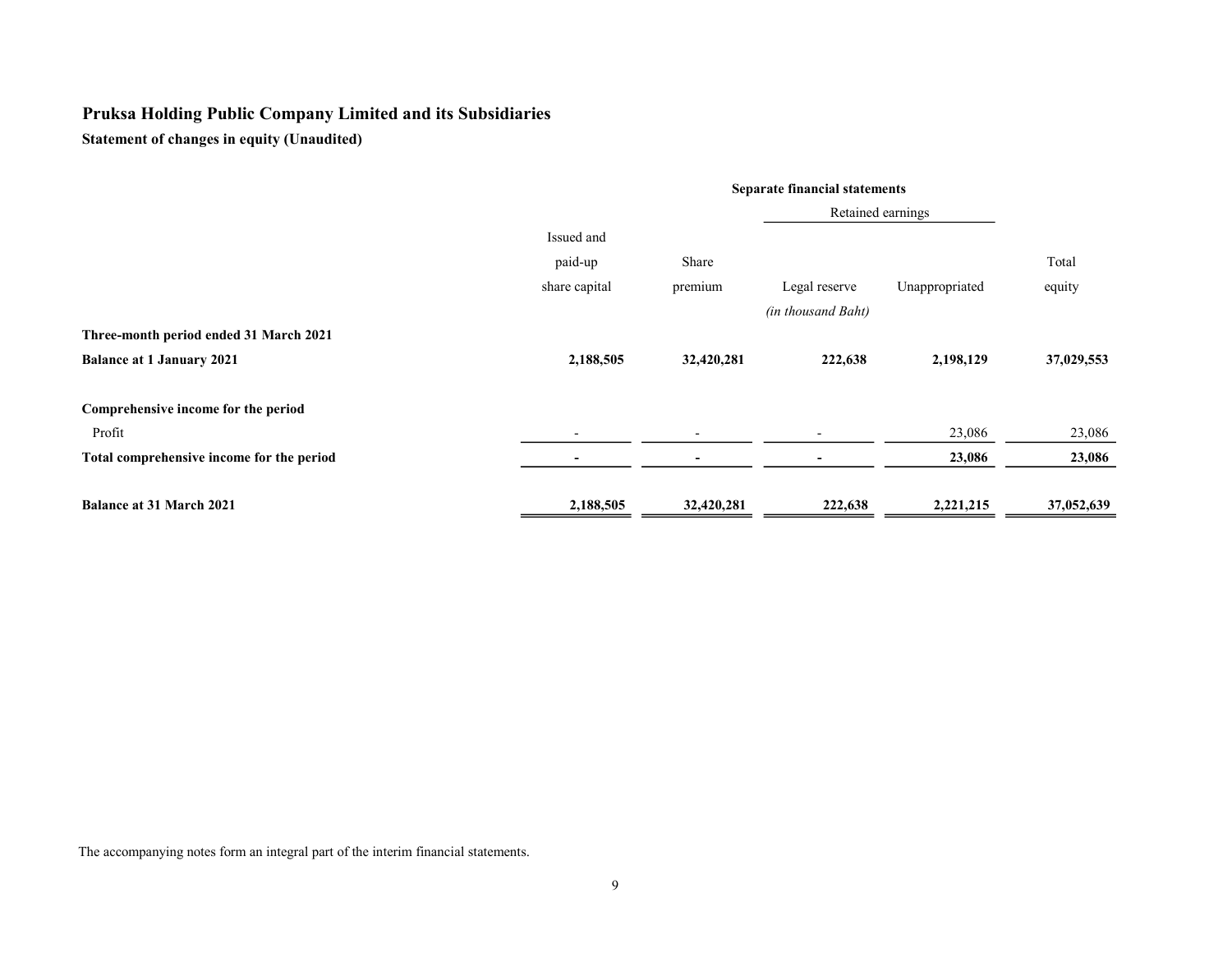Statement of changes in equity (Unaudited)

|                                           | <b>Separate financial statements</b> |                          |                    |                |            |  |
|-------------------------------------------|--------------------------------------|--------------------------|--------------------|----------------|------------|--|
|                                           |                                      | Retained earnings        |                    |                |            |  |
|                                           | Issued and                           |                          |                    |                |            |  |
|                                           | paid-up                              | Share                    |                    |                | Total      |  |
|                                           | share capital                        | premium                  | Legal reserve      | Unappropriated | equity     |  |
|                                           |                                      |                          | (in thousand Baht) |                |            |  |
| Three-month period ended 31 March 2021    |                                      |                          |                    |                |            |  |
| <b>Balance at 1 January 2021</b>          | 2,188,505                            | 32,420,281               | 222,638            | 2,198,129      | 37,029,553 |  |
| Comprehensive income for the period       |                                      |                          |                    |                |            |  |
| Profit                                    |                                      | $\overline{\phantom{0}}$ |                    | 23,086         | 23,086     |  |
| Total comprehensive income for the period |                                      | -                        |                    | 23,086         | 23,086     |  |
| <b>Balance at 31 March 2021</b>           | 2,188,505                            | 32,420,281               | 222,638            | 2,221,215      | 37,052,639 |  |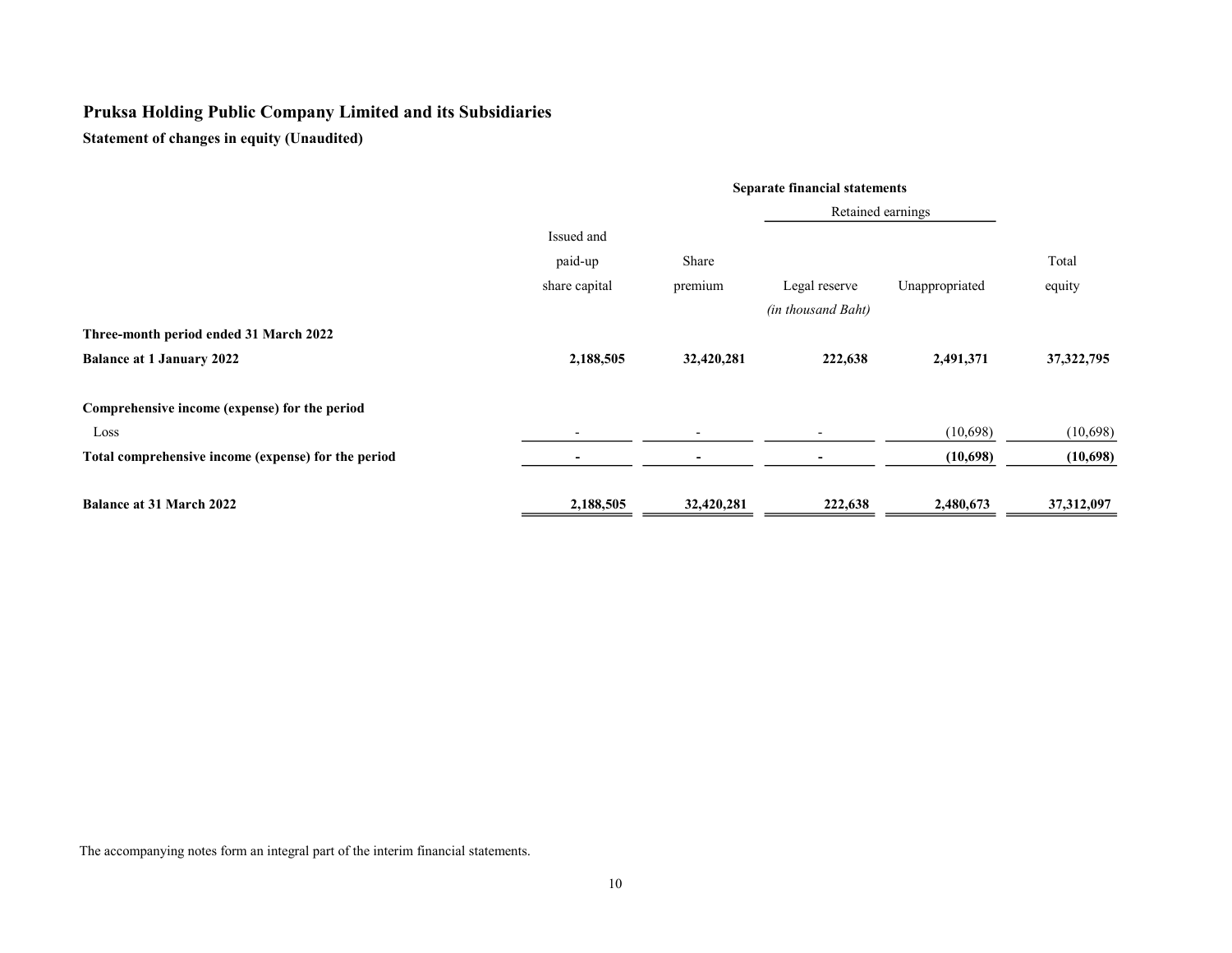Statement of changes in equity (Unaudited)

|                                                     | <b>Separate financial statements</b> |                          |                          |                |              |  |  |
|-----------------------------------------------------|--------------------------------------|--------------------------|--------------------------|----------------|--------------|--|--|
|                                                     |                                      | Retained earnings        |                          |                |              |  |  |
|                                                     | Issued and                           |                          |                          |                |              |  |  |
|                                                     | paid-up                              | Share                    |                          |                | Total        |  |  |
|                                                     | share capital                        | premium                  | Legal reserve            | Unappropriated | equity       |  |  |
|                                                     |                                      |                          | (in thousand Baht)       |                |              |  |  |
| Three-month period ended 31 March 2022              |                                      |                          |                          |                |              |  |  |
| <b>Balance at 1 January 2022</b>                    | 2,188,505                            | 32,420,281               | 222,638                  | 2,491,371      | 37, 322, 795 |  |  |
| Comprehensive income (expense) for the period       |                                      |                          |                          |                |              |  |  |
| Loss                                                |                                      | $\overline{\phantom{a}}$ | $\overline{\phantom{0}}$ | (10,698)       | (10,698)     |  |  |
| Total comprehensive income (expense) for the period |                                      | $\overline{\phantom{0}}$ |                          | (10,698)       | (10,698)     |  |  |
| <b>Balance at 31 March 2022</b>                     | 2,188,505                            | 32,420,281               | 222,638                  | 2,480,673      | 37,312,097   |  |  |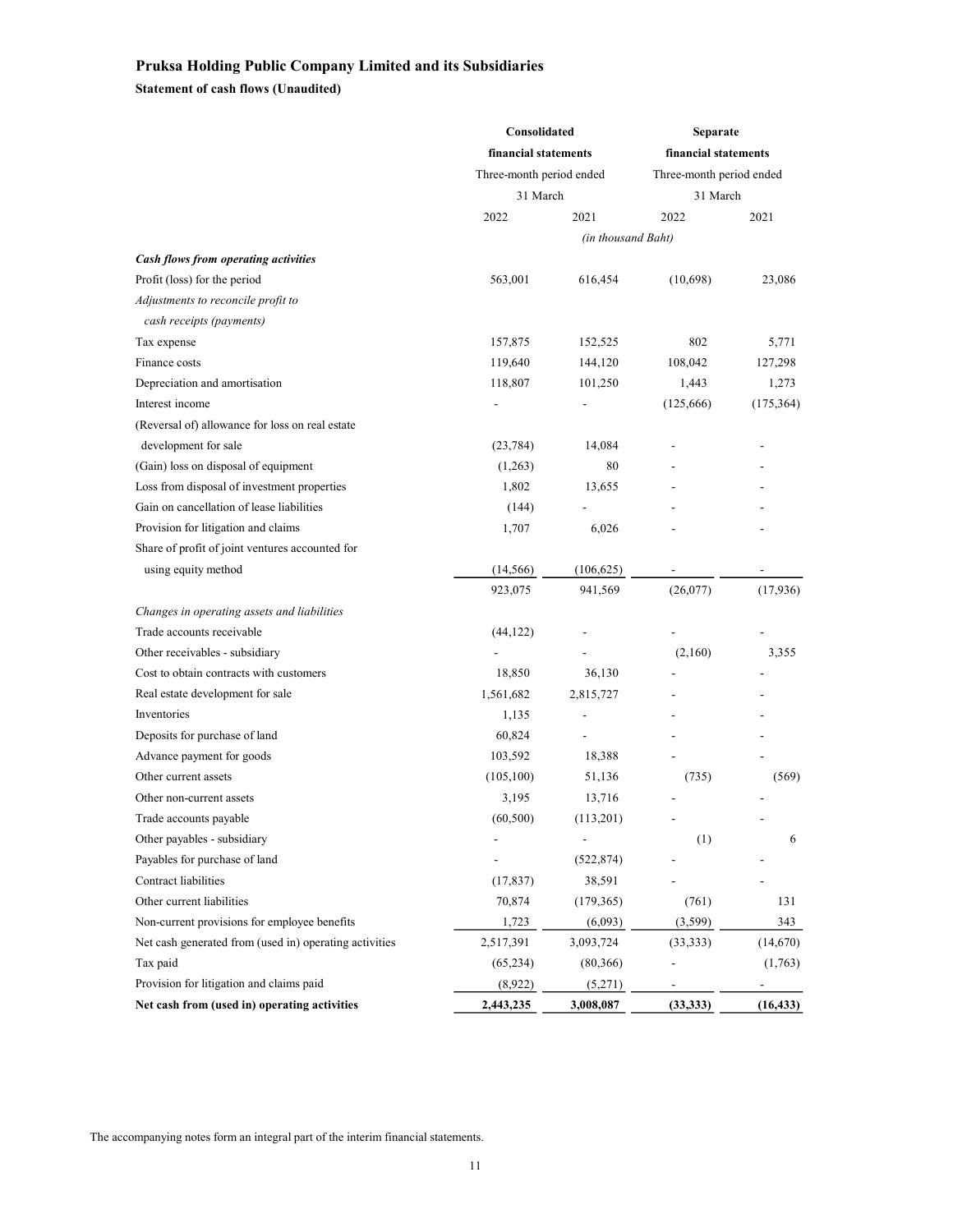Statement of cash flows (Unaudited)

|                                                        | Consolidated             |                    | Separate                 |            |  |
|--------------------------------------------------------|--------------------------|--------------------|--------------------------|------------|--|
|                                                        | financial statements     |                    | financial statements     |            |  |
|                                                        | Three-month period ended |                    | Three-month period ended |            |  |
|                                                        | 31 March                 |                    | 31 March                 |            |  |
|                                                        | 2022                     | 2021               | 2022                     | 2021       |  |
|                                                        |                          | (in thousand Baht) |                          |            |  |
| Cash flows from operating activities                   |                          |                    |                          |            |  |
| Profit (loss) for the period                           | 563,001                  | 616,454            | (10, 698)                | 23,086     |  |
| Adjustments to reconcile profit to                     |                          |                    |                          |            |  |
| cash receipts (payments)                               |                          |                    |                          |            |  |
| Tax expense                                            | 157,875                  | 152,525            | 802                      | 5,771      |  |
| Finance costs                                          | 119,640                  | 144,120            | 108,042                  | 127,298    |  |
| Depreciation and amortisation                          | 118,807                  | 101,250            | 1,443                    | 1,273      |  |
| Interest income                                        |                          |                    | (125,666)                | (175, 364) |  |
| (Reversal of) allowance for loss on real estate        |                          |                    |                          |            |  |
| development for sale                                   | (23, 784)                | 14,084             |                          |            |  |
| (Gain) loss on disposal of equipment                   | (1,263)                  | 80                 |                          |            |  |
| Loss from disposal of investment properties            | 1,802                    | 13,655             |                          |            |  |
| Gain on cancellation of lease liabilities              | (144)                    |                    |                          |            |  |
| Provision for litigation and claims                    | 1,707                    | 6,026              |                          |            |  |
| Share of profit of joint ventures accounted for        |                          |                    |                          |            |  |
| using equity method                                    | (14, 566)                | (106, 625)         |                          |            |  |
|                                                        | 923,075                  | 941,569            | (26,077)                 | (17,936)   |  |
| Changes in operating assets and liabilities            |                          |                    |                          |            |  |
| Trade accounts receivable                              | (44, 122)                |                    |                          |            |  |
| Other receivables - subsidiary                         |                          |                    | (2,160)                  | 3,355      |  |
| Cost to obtain contracts with customers                | 18,850                   | 36,130             |                          |            |  |
| Real estate development for sale                       | 1,561,682                | 2,815,727          |                          |            |  |
| Inventories                                            | 1,135                    |                    |                          |            |  |
| Deposits for purchase of land                          | 60,824                   | $\overline{a}$     |                          |            |  |
| Advance payment for goods                              | 103,592                  | 18,388             |                          |            |  |
| Other current assets                                   | (105,100)                | 51,136             | (735)                    | (569)      |  |
| Other non-current assets                               | 3,195                    | 13,716             |                          |            |  |
| Trade accounts payable                                 | (60, 500)                | (113,201)          |                          |            |  |
| Other payables - subsidiary                            |                          |                    | (1)                      | 6          |  |
| Payables for purchase of land                          |                          | (522, 874)         |                          |            |  |
| Contract liabilities                                   | (17, 837)                | 38,591             |                          |            |  |
| Other current liabilities                              | 70,874                   | (179, 365)         | (761)                    | 131        |  |
| Non-current provisions for employee benefits           | 1,723                    | (6,093)            | (3, 599)                 | 343        |  |
| Net cash generated from (used in) operating activities | 2,517,391                | 3,093,724          | (33, 333)                | (14,670)   |  |
| Tax paid                                               | (65,234)                 | (80, 366)          |                          | (1,763)    |  |
| Provision for litigation and claims paid               | (8,922)                  | (5,271)            |                          |            |  |
| Net cash from (used in) operating activities           | 2,443,235                | 3,008,087          | (33, 333)                | (16, 433)  |  |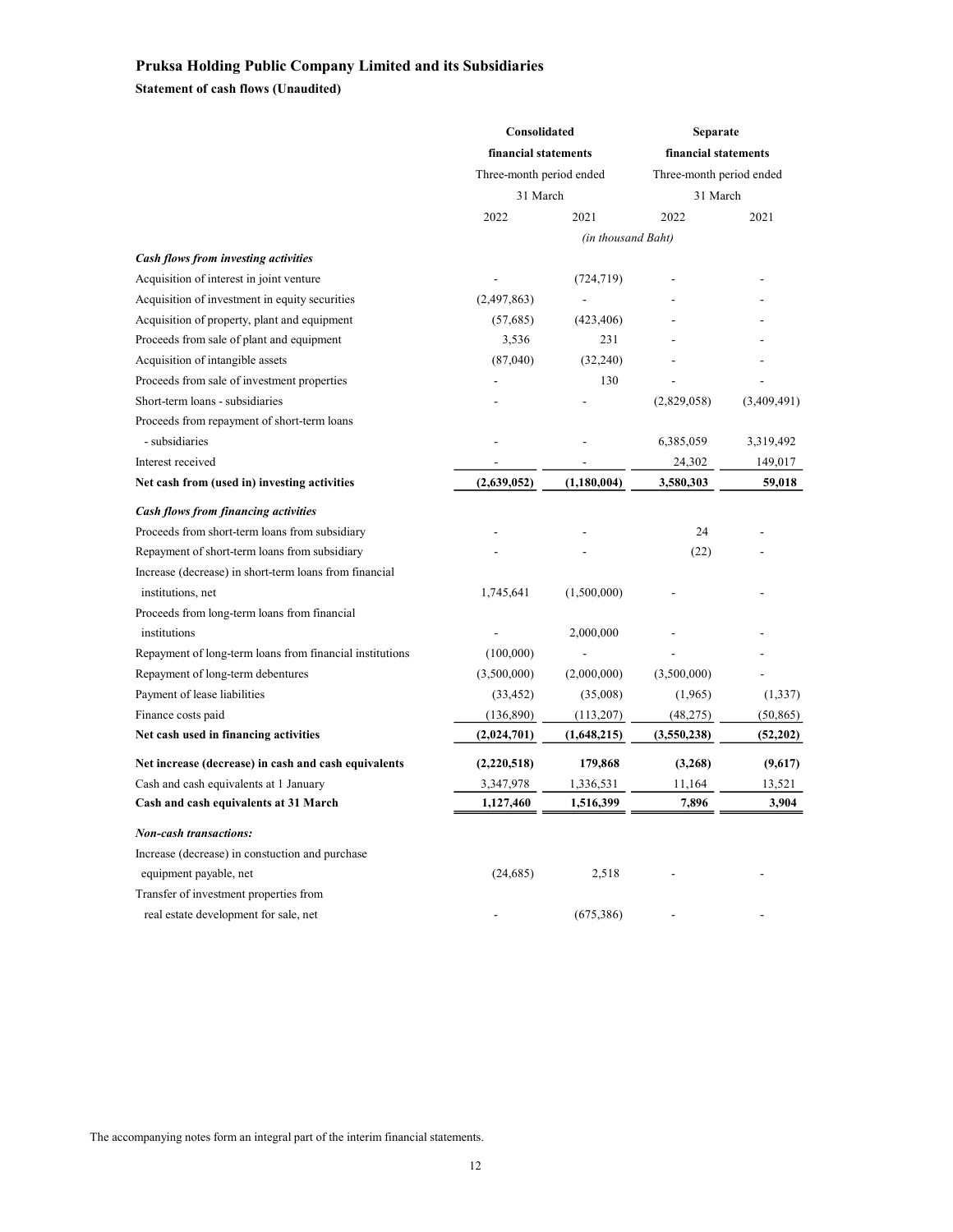Statement of cash flows (Unaudited)

|                                                          | Consolidated                         |                    | Separate                 |             |  |
|----------------------------------------------------------|--------------------------------------|--------------------|--------------------------|-------------|--|
|                                                          | financial statements                 |                    | financial statements     |             |  |
|                                                          | Three-month period ended<br>31 March |                    | Three-month period ended |             |  |
|                                                          |                                      |                    | 31 March                 |             |  |
|                                                          | 2022                                 | 2021               | 2022                     | 2021        |  |
|                                                          |                                      | (in thousand Baht) |                          |             |  |
| Cash flows from investing activities                     |                                      |                    |                          |             |  |
| Acquisition of interest in joint venture                 |                                      | (724, 719)         |                          |             |  |
| Acquisition of investment in equity securities           | (2,497,863)                          |                    |                          |             |  |
| Acquisition of property, plant and equipment             | (57,685)                             | (423, 406)         |                          |             |  |
| Proceeds from sale of plant and equipment                | 3,536                                | 231                |                          |             |  |
| Acquisition of intangible assets                         | (87,040)                             | (32, 240)          |                          |             |  |
| Proceeds from sale of investment properties              |                                      | 130                |                          |             |  |
| Short-term loans - subsidiaries                          |                                      |                    | (2,829,058)              | (3,409,491) |  |
| Proceeds from repayment of short-term loans              |                                      |                    |                          |             |  |
| - subsidiaries                                           |                                      |                    | 6,385,059                | 3,319,492   |  |
| Interest received                                        |                                      |                    | 24,302                   | 149,017     |  |
| Net cash from (used in) investing activities             | (2,639,052)                          | (1,180,004)        | 3,580,303                | 59,018      |  |
| <b>Cash flows from financing activities</b>              |                                      |                    |                          |             |  |
| Proceeds from short-term loans from subsidiary           |                                      |                    | 24                       |             |  |
| Repayment of short-term loans from subsidiary            |                                      |                    | (22)                     |             |  |
| Increase (decrease) in short-term loans from financial   |                                      |                    |                          |             |  |
| institutions, net                                        | 1,745,641                            | (1,500,000)        |                          |             |  |
| Proceeds from long-term loans from financial             |                                      |                    |                          |             |  |
| institutions                                             |                                      | 2,000,000          |                          |             |  |
| Repayment of long-term loans from financial institutions | (100,000)                            |                    |                          |             |  |
| Repayment of long-term debentures                        | (3,500,000)                          | (2,000,000)        | (3,500,000)              |             |  |
| Payment of lease liabilities                             | (33, 452)                            | (35,008)           | (1,965)                  | (1, 337)    |  |
| Finance costs paid                                       | (136,890)                            | (113,207)          | (48, 275)                | (50, 865)   |  |
| Net cash used in financing activities                    | (2,024,701)                          | (1,648,215)        | (3,550,238)              | (52,202)    |  |
| Net increase (decrease) in cash and cash equivalents     | (2,220,518)                          | 179,868            | (3,268)                  | (9,617)     |  |
| Cash and cash equivalents at 1 January                   | 3,347,978                            | 1,336,531          | 11,164                   | 13,521      |  |
| Cash and cash equivalents at 31 March                    | 1,127,460                            | 1,516,399          | 7,896                    | 3,904       |  |
| <b>Non-cash transactions:</b>                            |                                      |                    |                          |             |  |
| Increase (decrease) in constuction and purchase          |                                      |                    |                          |             |  |
| equipment payable, net                                   | (24, 685)                            | 2,518              |                          |             |  |
| Transfer of investment properties from                   |                                      |                    |                          |             |  |
| real estate development for sale, net                    |                                      | (675, 386)         |                          |             |  |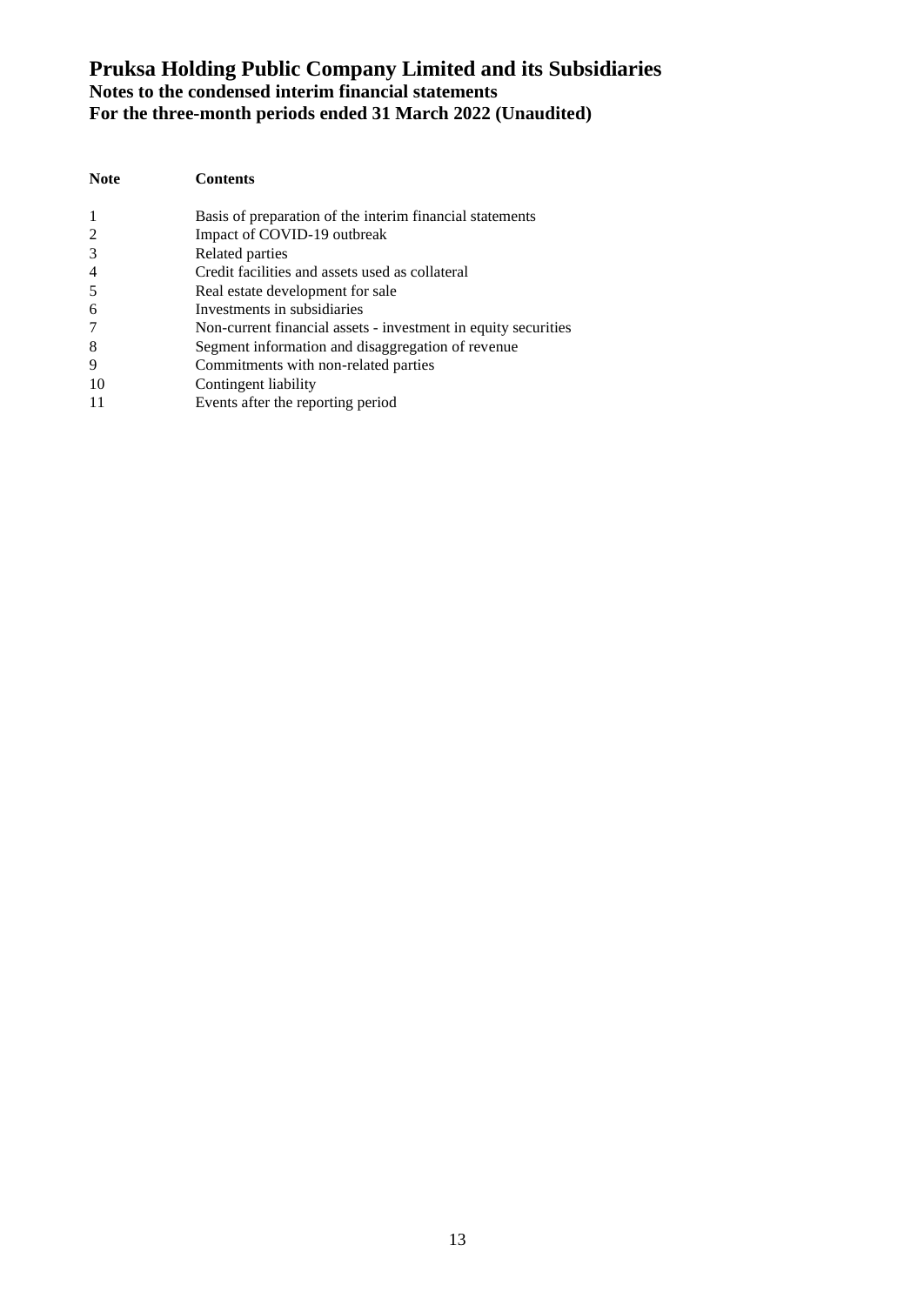| <b>Note</b>    | <b>Contents</b>                                                |
|----------------|----------------------------------------------------------------|
| -1             | Basis of preparation of the interim financial statements       |
| 2              | Impact of COVID-19 outbreak                                    |
| 3              | Related parties                                                |
| $\overline{4}$ | Credit facilities and assets used as collateral                |
| 5              | Real estate development for sale                               |
| 6              | Investments in subsidiaries                                    |
| 7              | Non-current financial assets - investment in equity securities |
| 8              | Segment information and disaggregation of revenue              |
| 9              | Commitments with non-related parties                           |
| 10             | Contingent liability                                           |
| -11            | Events after the reporting period                              |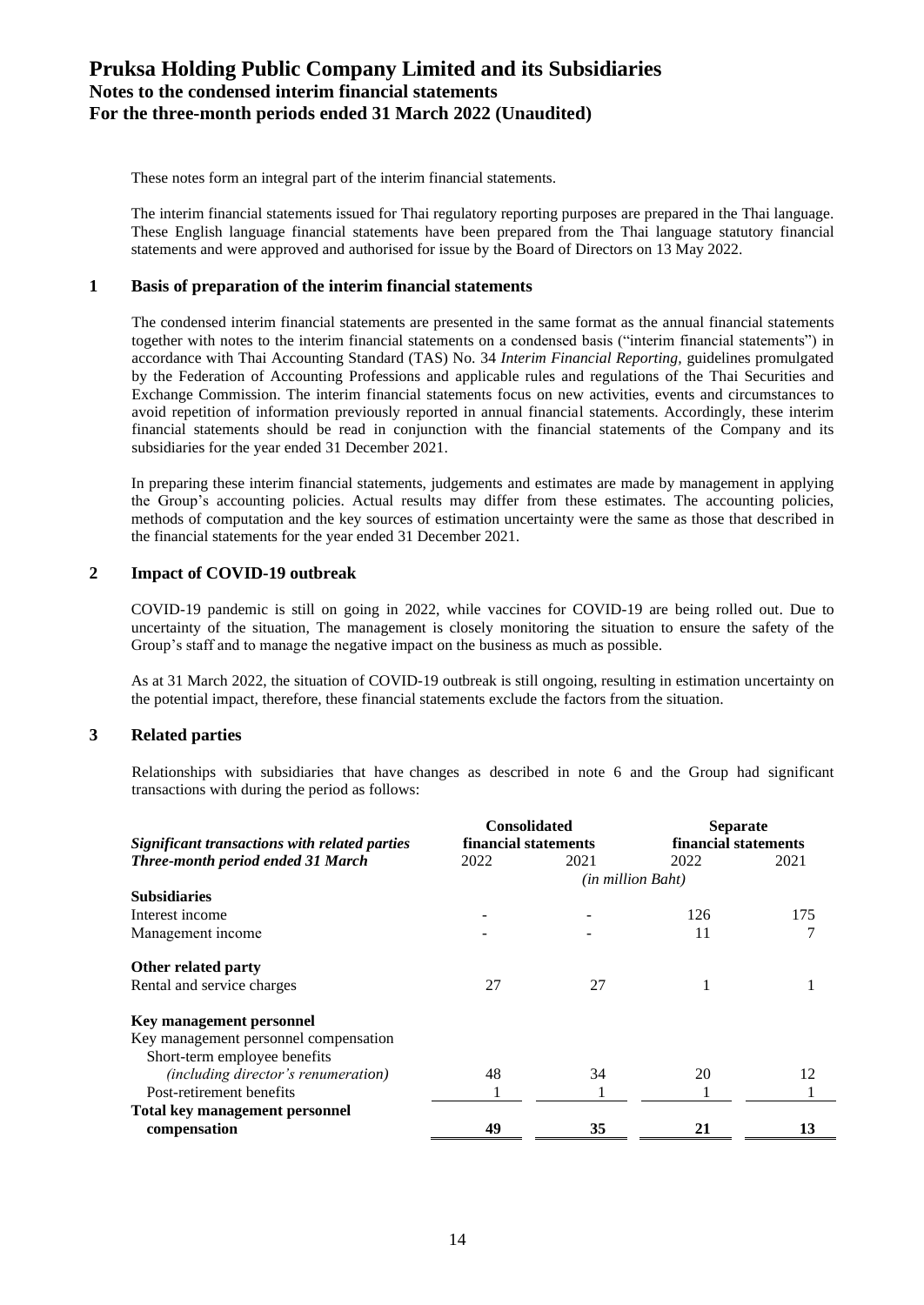These notes form an integral part of the interim financial statements.

The interim financial statements issued for Thai regulatory reporting purposes are prepared in the Thai language. These English language financial statements have been prepared from the Thai language statutory financial statements and were approved and authorised for issue by the Board of Directors on 13 May 2022.

#### **1 Basis of preparation of the interim financial statements**

The condensed interim financial statements are presented in the same format as the annual financial statements together with notes to the interim financial statements on a condensed basis ("interim financial statements") in accordance with Thai Accounting Standard (TAS) No. 34 *Interim Financial Reporting,* guidelines promulgated by the Federation of Accounting Professions and applicable rules and regulations of the Thai Securities and Exchange Commission. The interim financial statements focus on new activities, events and circumstances to avoid repetition of information previously reported in annual financial statements. Accordingly, these interim financial statements should be read in conjunction with the financial statements of the Company and its subsidiaries for the year ended 31 December 2021.

In preparing these interim financial statements, judgements and estimates are made by management in applying the Group's accounting policies. Actual results may differ from these estimates. The accounting policies, methods of computation and the key sources of estimation uncertainty were the same as those that described in the financial statements for the year ended 31 December 2021.

#### **2 Impact of COVID-19 outbreak**

COVID-19 pandemic is still on going in 2022, while vaccines for COVID-19 are being rolled out. Due to uncertainty of the situation, The management is closely monitoring the situation to ensure the safety of the Group's staff and to manage the negative impact on the business as much as possible.

As at 31 March 2022, the situation of COVID-19 outbreak is still ongoing, resulting in estimation uncertainty on the potential impact, therefore, these financial statements exclude the factors from the situation.

#### **3 Related parties**

Relationships with subsidiaries that have changes as described in note 6 and the Group had significant transactions with during the period as follows:

|                                               | <b>Consolidated</b>  |                          | <b>Separate</b>      |      |  |
|-----------------------------------------------|----------------------|--------------------------|----------------------|------|--|
| Significant transactions with related parties | financial statements |                          | financial statements |      |  |
| Three-month period ended 31 March             | 2022                 | 2021                     | 2022                 | 2021 |  |
|                                               |                      | <i>(in million Baht)</i> |                      |      |  |
| <b>Subsidiaries</b>                           |                      |                          |                      |      |  |
| Interest income                               |                      |                          | 126                  | 175  |  |
| Management income                             |                      |                          | 11                   |      |  |
| Other related party                           |                      |                          |                      |      |  |
| Rental and service charges                    | 27                   | 27                       |                      |      |  |
| Key management personnel                      |                      |                          |                      |      |  |
| Key management personnel compensation         |                      |                          |                      |      |  |
| Short-term employee benefits                  |                      |                          |                      |      |  |
| <i>(including director's renumeration)</i>    | 48                   | 34                       | 20                   | 12   |  |
| Post-retirement benefits                      |                      |                          |                      |      |  |
| <b>Total key management personnel</b>         |                      |                          |                      |      |  |
| compensation                                  | 49                   | 35                       | 21                   | 13   |  |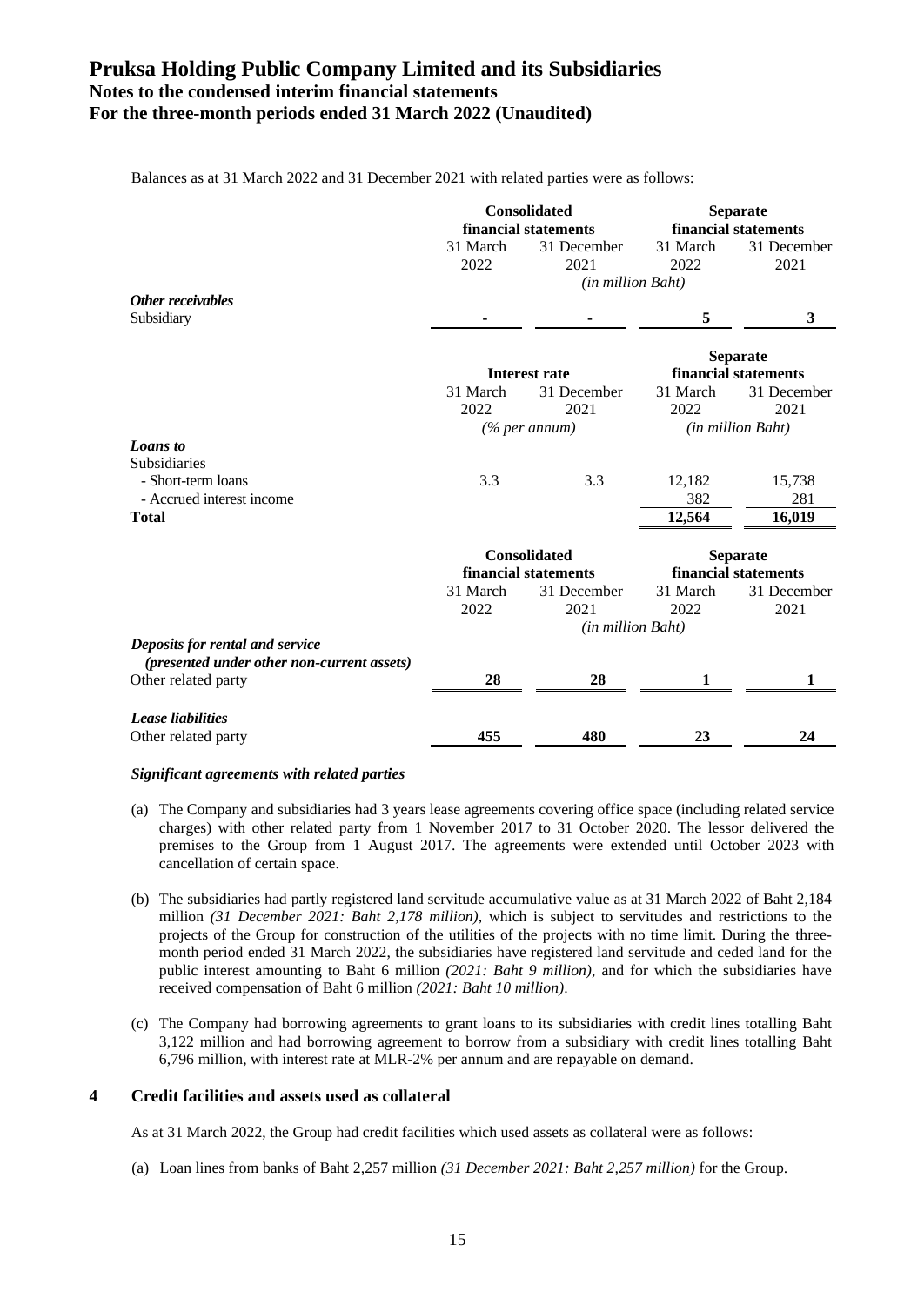|  |  | Balances as at 31 March 2022 and 31 December 2021 with related parties were as follows: |
|--|--|-----------------------------------------------------------------------------------------|
|  |  |                                                                                         |

|                                            | <b>Consolidated</b> |                      | <b>Separate</b>      |                          |  |
|--------------------------------------------|---------------------|----------------------|----------------------|--------------------------|--|
|                                            |                     | financial statements | financial statements |                          |  |
|                                            | 31 March            | 31 December          | 31 March             | 31 December              |  |
|                                            | 2022                | 2021                 | 2022                 | 2021                     |  |
|                                            |                     | (in million Baht)    |                      |                          |  |
| Other receivables                          |                     |                      |                      |                          |  |
| Subsidiary                                 |                     |                      | 5                    | 3                        |  |
|                                            |                     |                      |                      |                          |  |
|                                            |                     |                      |                      | <b>Separate</b>          |  |
|                                            |                     | <b>Interest rate</b> |                      | financial statements     |  |
|                                            | 31 March            | 31 December          | 31 March             | 31 December              |  |
|                                            | 2022                | 2021                 | 2022                 | 2021                     |  |
|                                            |                     | $(\%$ per annum)     |                      | <i>(in million Baht)</i> |  |
| <b>Loans</b> to                            |                     |                      |                      |                          |  |
| Subsidiaries                               |                     |                      |                      |                          |  |
| - Short-term loans                         | 3.3                 | 3.3                  | 12,182               | 15,738                   |  |
| - Accrued interest income                  |                     |                      | 382                  | 281                      |  |
| <b>Total</b>                               |                     |                      | 12,564               | 16,019                   |  |
|                                            |                     |                      |                      |                          |  |
|                                            |                     | <b>Consolidated</b>  | <b>Separate</b>      |                          |  |
|                                            |                     | financial statements | financial statements |                          |  |
|                                            | 31 March            | 31 December          | 31 March             | 31 December              |  |
|                                            | 2022                | 2021                 | 2022                 | 2021                     |  |
|                                            |                     | (in million Baht)    |                      |                          |  |
| Deposits for rental and service            |                     |                      |                      |                          |  |
| (presented under other non-current assets) |                     |                      |                      |                          |  |
| Other related party                        | 28                  | 28                   | 1                    | 1                        |  |
|                                            |                     |                      |                      |                          |  |
| <b>Lease liabilities</b>                   |                     |                      |                      |                          |  |
| Other related party                        | 455                 | 480                  | 23                   | 24                       |  |
|                                            |                     |                      |                      |                          |  |

#### *Significant agreements with related parties*

- (a) The Company and subsidiaries had 3 years lease agreements covering office space (including related service charges) with other related party from 1 November 2017 to 31 October 2020. The lessor delivered the premises to the Group from 1 August 2017. The agreements were extended until October 2023 with cancellation of certain space.
- (b) The subsidiaries had partly registered land servitude accumulative value as at 31 March 2022 of Baht 2,184 million *(31 December 2021: Baht 2,178 million)*, which is subject to servitudes and restrictions to the projects of the Group for construction of the utilities of the projects with no time limit. During the threemonth period ended 31 March 2022, the subsidiaries have registered land servitude and ceded land for the public interest amounting to Baht 6 million *(2021: Baht 9 million)*, and for which the subsidiaries have received compensation of Baht 6 million *(2021: Baht 10 million)*.
- (c) The Company had borrowing agreements to grant loans to its subsidiaries with credit lines totalling Baht 3,122 million and had borrowing agreement to borrow from a subsidiary with credit lines totalling Baht 6,796 million, with interest rate at MLR-2% per annum and are repayable on demand.

#### **4 Credit facilities and assets used as collateral**

As at 31 March 2022, the Group had credit facilities which used assets as collateral were as follows:

(a) Loan lines from banks of Baht 2,257 million *(31 December 2021: Baht 2,257 million)* for the Group.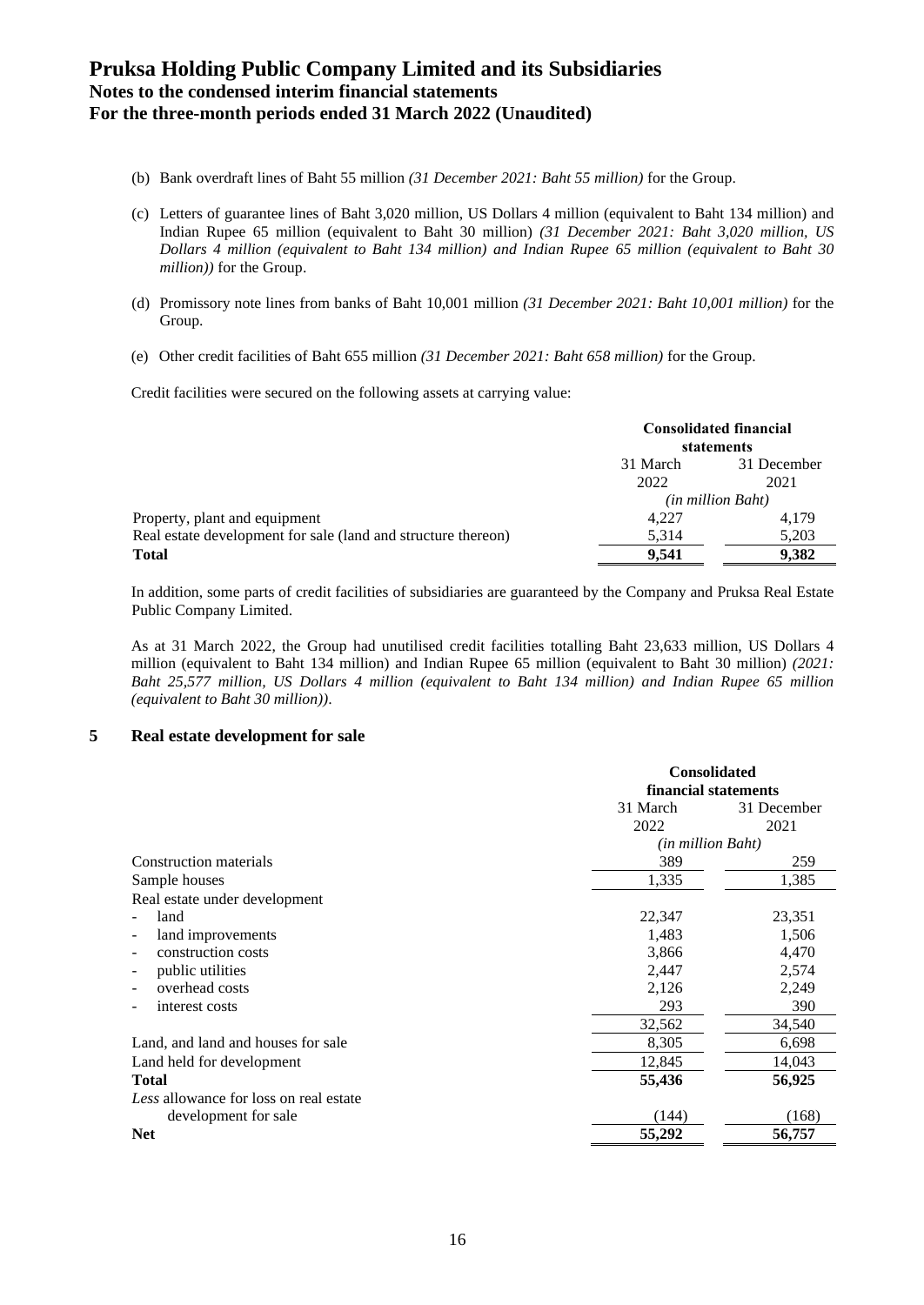- (b) Bank overdraft lines of Baht 55 million *(31 December 2021: Baht 55 million)* for the Group.
- (c) Letters of guarantee lines of Baht 3,020 million, US Dollars 4 million (equivalent to Baht 134 million) and Indian Rupee 65 million (equivalent to Baht 30 million) *(31 December 2021: Baht 3,020 million, US Dollars 4 million (equivalent to Baht 134 million) and Indian Rupee 65 million (equivalent to Baht 30 million))* for the Group.
- (d) Promissory note lines from banks of Baht 10,001 million *(31 December 2021: Baht 10,001 million)* for the Group.
- (e) Other credit facilities of Baht 655 million *(31 December 2021: Baht 658 million)* for the Group.

Credit facilities were secured on the following assets at carrying value:

|                                                               | <b>Consolidated financial</b><br>statements |       |  |  |
|---------------------------------------------------------------|---------------------------------------------|-------|--|--|
|                                                               | 31 March<br>31 December                     |       |  |  |
|                                                               | 2022                                        | 2021  |  |  |
|                                                               | <i>(in million Baht)</i>                    |       |  |  |
| Property, plant and equipment                                 | 4,227                                       | 4,179 |  |  |
| Real estate development for sale (land and structure thereon) | 5,314                                       | 5,203 |  |  |
| Total                                                         | 9.541                                       | 9.382 |  |  |
|                                                               |                                             |       |  |  |

In addition, some parts of credit facilities of subsidiaries are guaranteed by the Company and Pruksa Real Estate Public Company Limited.

As at 31 March 2022, the Group had unutilised credit facilities totalling Baht 23,633 million, US Dollars 4 million (equivalent to Baht 134 million) and Indian Rupee 65 million (equivalent to Baht 30 million) *(2021: Baht 25,577 million, US Dollars 4 million (equivalent to Baht 134 million) and Indian Rupee 65 million (equivalent to Baht 30 million))*.

#### **5 Real estate development for sale**

|                                               | <b>Consolidated</b><br>financial statements |             |  |
|-----------------------------------------------|---------------------------------------------|-------------|--|
|                                               | 31 March                                    | 31 December |  |
|                                               | 2022                                        | 2021        |  |
|                                               | (in million Baht)                           |             |  |
| Construction materials                        | 389                                         | 259         |  |
| Sample houses                                 | 1,335                                       | 1,385       |  |
| Real estate under development                 |                                             |             |  |
| land                                          | 22,347                                      | 23,351      |  |
| land improvements<br>$\overline{\phantom{a}}$ | 1,483                                       | 1,506       |  |
| construction costs                            | 3,866                                       | 4,470       |  |
| public utilities                              | 2,447                                       | 2,574       |  |
| overhead costs                                | 2,126                                       | 2,249       |  |
| interest costs                                | 293                                         | 390         |  |
|                                               | 32,562                                      | 34,540      |  |
| Land, and land and houses for sale            | 8,305                                       | 6,698       |  |
| Land held for development                     | 12,845                                      | 14,043      |  |
| <b>Total</b>                                  | 55,436                                      | 56,925      |  |
| Less allowance for loss on real estate        |                                             |             |  |
| development for sale                          | (144)                                       | (168)       |  |
| <b>Net</b>                                    | 55,292                                      | 56,757      |  |
|                                               |                                             |             |  |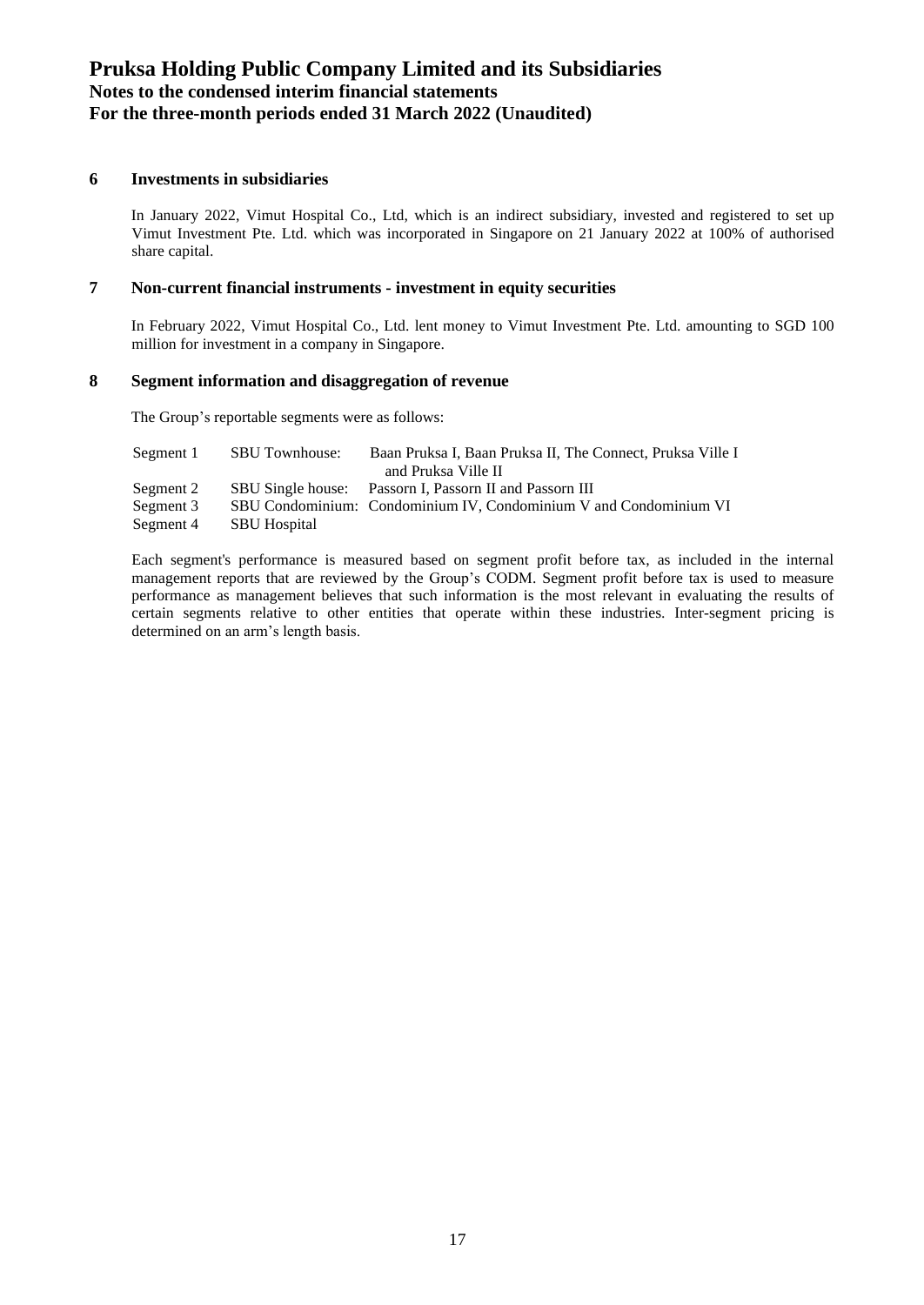### **6 Investments in subsidiaries**

In January 2022, Vimut Hospital Co., Ltd, which is an indirect subsidiary, invested and registered to set up Vimut Investment Pte. Ltd. which was incorporated in Singapore on 21 January 2022 at 100% of authorised share capital.

#### **7 Non-current financial instruments - investment in equity securities**

In February 2022, Vimut Hospital Co., Ltd. lent money to Vimut Investment Pte. Ltd. amounting to SGD 100 million for investment in a company in Singapore.

#### **8 Segment information and disaggregation of revenue**

The Group's reportable segments were as follows:

| Segment 1 | <b>SBU Townhouse:</b> | Baan Pruksa I, Baan Pruksa II, The Connect, Pruksa Ville I        |
|-----------|-----------------------|-------------------------------------------------------------------|
|           |                       | and Pruksa Ville II                                               |
| Segment 2 |                       | SBU Single house: Passorn I, Passorn II and Passorn III           |
| Segment 3 |                       | SBU Condominium: Condominium IV, Condominium V and Condominium VI |
| Segment 4 | <b>SBU</b> Hospital   |                                                                   |

Each segment's performance is measured based on segment profit before tax, as included in the internal management reports that are reviewed by the Group's CODM. Segment profit before tax is used to measure performance as management believes that such information is the most relevant in evaluating the results of certain segments relative to other entities that operate within these industries. Inter-segment pricing is determined on an arm's length basis.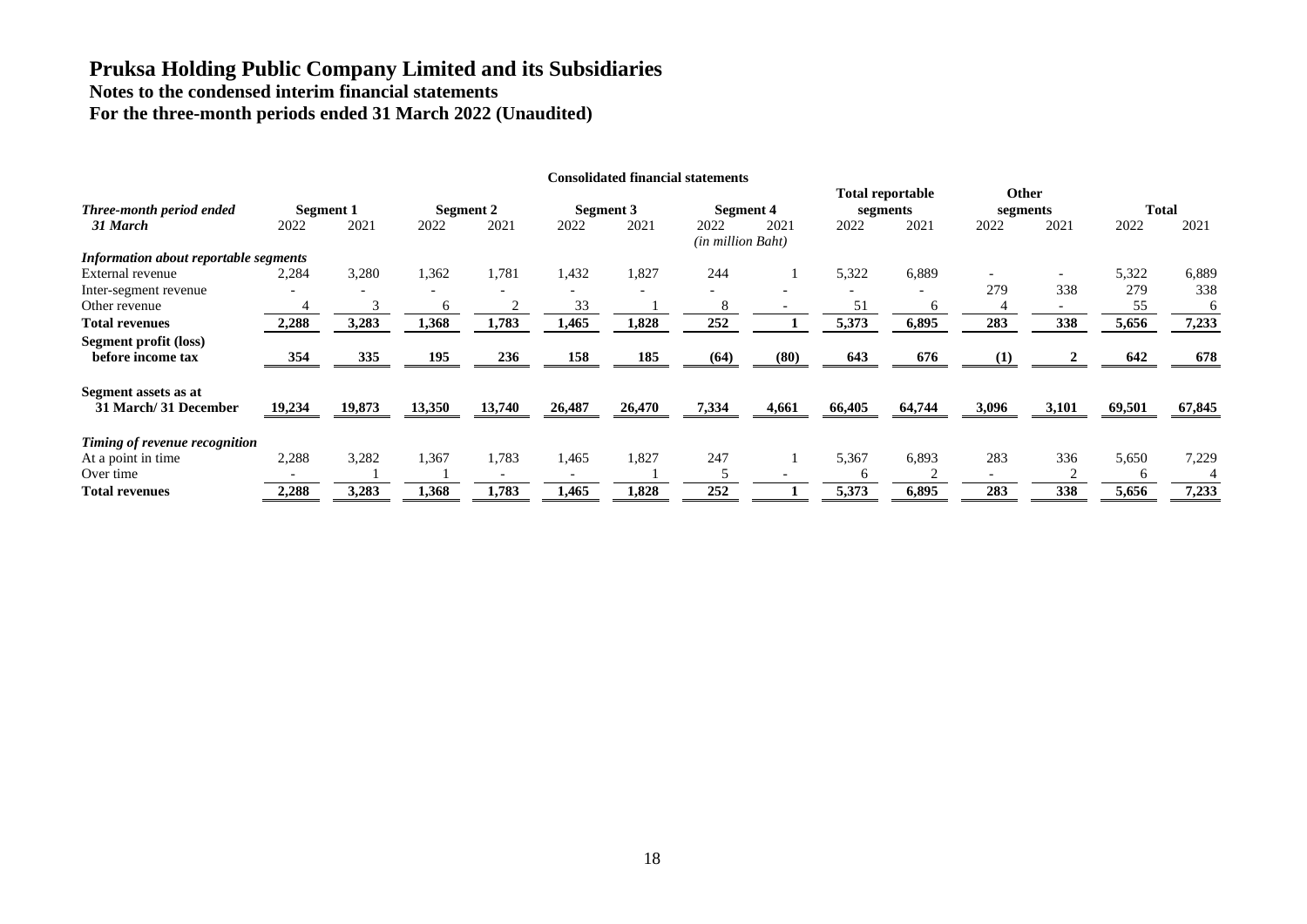|                                              |        |                   |        |                   |        | <b>Consolidated financial statements</b> |                   |                   |        |                                             |       |                                  |                      |              |
|----------------------------------------------|--------|-------------------|--------|-------------------|--------|------------------------------------------|-------------------|-------------------|--------|---------------------------------------------|-------|----------------------------------|----------------------|--------------|
| Three-month period ended<br>31 March         | 2022   | Segment 1<br>2021 | 2022   | Segment 2<br>2021 | 2022   | Segment 3<br>2021                        | 2022              | Segment 4<br>2021 | 2022   | <b>Total reportable</b><br>segments<br>2021 | 2022  | <b>Other</b><br>segments<br>2021 | <b>Total</b><br>2022 | 2021         |
| Information about reportable segments        |        |                   |        |                   |        |                                          | (in million Baht) |                   |        |                                             |       |                                  |                      |              |
| External revenue                             | 2,284  | 3,280             | 1,362  | 1,781             | 1,432  | 1.827                                    | 244               |                   | 5,322  | 6,889                                       | 279   | $\overline{\phantom{a}}$<br>338  | 5,322<br>279         | 6,889<br>338 |
| Inter-segment revenue<br>Other revenue       |        |                   | h      |                   | 33     |                                          | 8                 |                   | 51     | h                                           |       | $\overline{\phantom{0}}$         | 55                   | 6            |
| <b>Total revenues</b>                        | 2,288  | 3,283             | 1,368  | 1,783             | 1,465  | 1,828                                    | 252               |                   | 5,373  | 6,895                                       | 283   | 338                              | 5,656                | 7,233        |
| Segment profit (loss)<br>before income tax   | 354    | 335               | 195    | 236               | 158    | 185                                      | (64)              | (80)              | 643    | 676                                         | (1)   |                                  | 642                  | 678          |
| Segment assets as at<br>31 March/31 December | 19,234 | 19,873            | 13,350 | 13,740            | 26,487 | 26,470                                   | 7,334             | 4,661             | 66,405 | 64,744                                      | 3,096 | 3,101                            | 69,501               | 67,845       |
| Timing of revenue recognition                |        |                   |        |                   |        |                                          |                   |                   |        |                                             |       |                                  |                      |              |
| At a point in time                           | 2,288  | 3,282             | 1,367  | 1,783             | 1,465  | 1,827                                    | 247               |                   | 5,367  | 6,893                                       | 283   | 336                              | 5,650                | 7,229        |
| Over time                                    |        |                   |        |                   |        |                                          |                   |                   |        |                                             |       |                                  | h                    |              |
| <b>Total revenues</b>                        | 2,288  | 3,283             | 1,368  | 1,783             | 1,465  | 1,828                                    | 252               |                   | 5,373  | 6,895                                       | 283   | 338                              | 5,656                | 7,233        |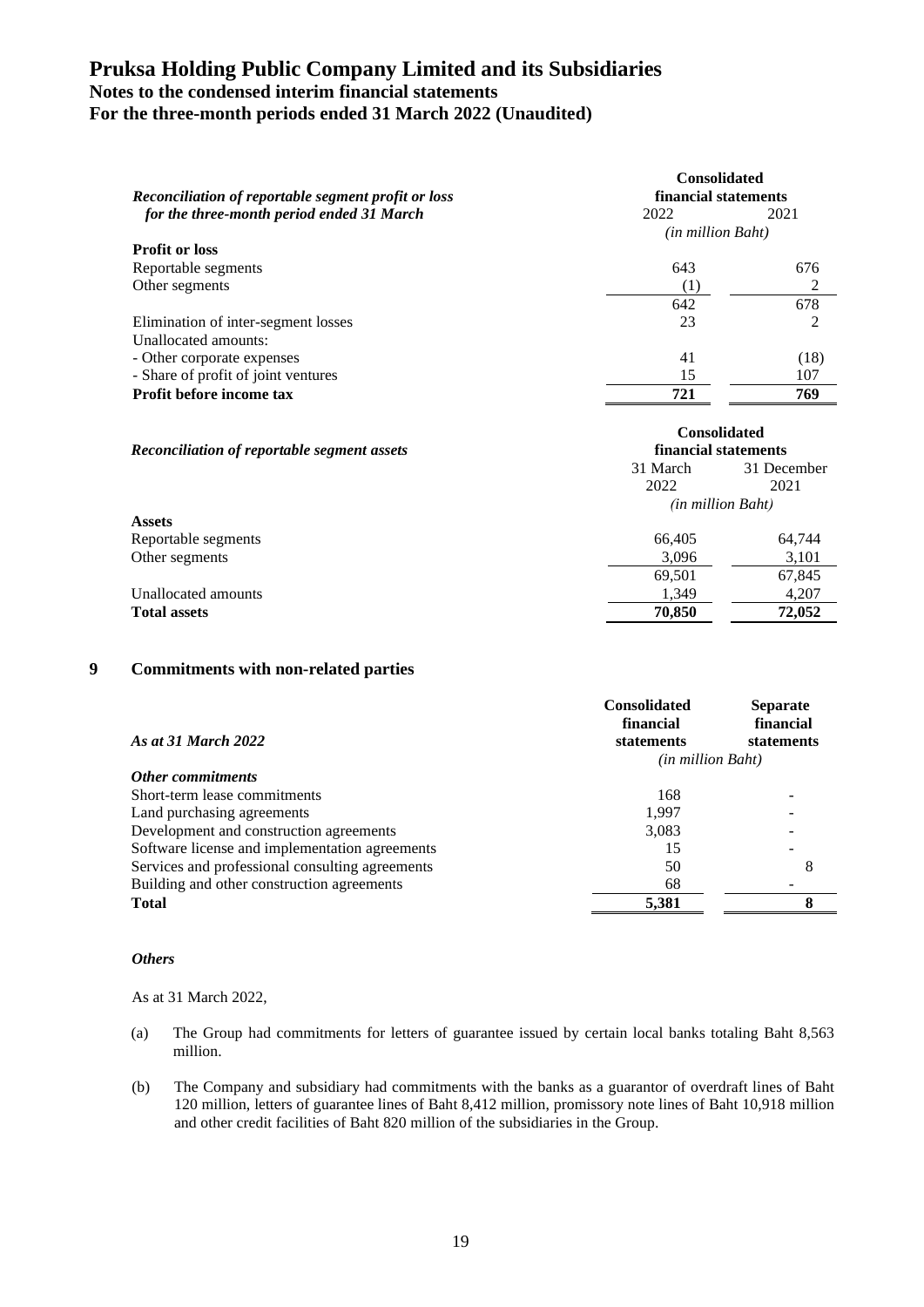| Reconciliation of reportable segment profit or loss | <b>Consolidated</b><br>financial statements |                |  |  |
|-----------------------------------------------------|---------------------------------------------|----------------|--|--|
| for the three-month period ended 31 March           | 2022                                        | 2021           |  |  |
|                                                     | <i>(in million Baht)</i>                    |                |  |  |
| <b>Profit or loss</b>                               |                                             |                |  |  |
| Reportable segments                                 | 643                                         | 676            |  |  |
| Other segments                                      | $^{(1)}$                                    | 2              |  |  |
|                                                     | 642                                         | 678            |  |  |
| Elimination of inter-segment losses                 | 23                                          | $\mathfrak{D}$ |  |  |
| Unallocated amounts:                                |                                             |                |  |  |
| - Other corporate expenses                          | 41                                          | (18)           |  |  |
| - Share of profit of joint ventures                 | 15                                          | 107            |  |  |
| Profit before income tax                            | 769<br>721                                  |                |  |  |

| Reconciliation of reportable segment assets |                   | <b>Consolidated</b><br>financial statements |  |
|---------------------------------------------|-------------------|---------------------------------------------|--|
|                                             | 31 March          | 31 December                                 |  |
|                                             | 2022              | 2021                                        |  |
|                                             | (in million Baht) |                                             |  |
| <b>Assets</b>                               |                   |                                             |  |
| Reportable segments                         | 66.405            | 64,744                                      |  |
| Other segments                              | 3,096             | 3,101                                       |  |
|                                             | 69,501            | 67,845                                      |  |
| Unallocated amounts                         | 1.349             | 4,207                                       |  |
| <b>Total assets</b>                         | 70,850<br>72,052  |                                             |  |

#### **9 Commitments with non-related parties**

|                                                 | <b>Consolidated</b><br>financial | <b>Separate</b><br>financial |  |
|-------------------------------------------------|----------------------------------|------------------------------|--|
| As at 31 March 2022                             | statements                       | statements                   |  |
|                                                 | <i>(in million Baht)</i>         |                              |  |
| Other commitments                               |                                  |                              |  |
| Short-term lease commitments                    | 168                              |                              |  |
| Land purchasing agreements                      | 1.997                            |                              |  |
| Development and construction agreements         | 3,083                            |                              |  |
| Software license and implementation agreements  | 15                               |                              |  |
| Services and professional consulting agreements | 50                               |                              |  |
| Building and other construction agreements      | 68                               |                              |  |
| <b>Total</b>                                    | 5,381                            | O                            |  |

#### *Others*

As at 31 March 2022,

- (a) The Group had commitments for letters of guarantee issued by certain local banks totaling Baht 8,563 million.
- (b) The Company and subsidiary had commitments with the banks as a guarantor of overdraft lines of Baht 120 million, letters of guarantee lines of Baht 8,412 million, promissory note lines of Baht 10,918 million and other credit facilities of Baht 820 million of the subsidiaries in the Group.